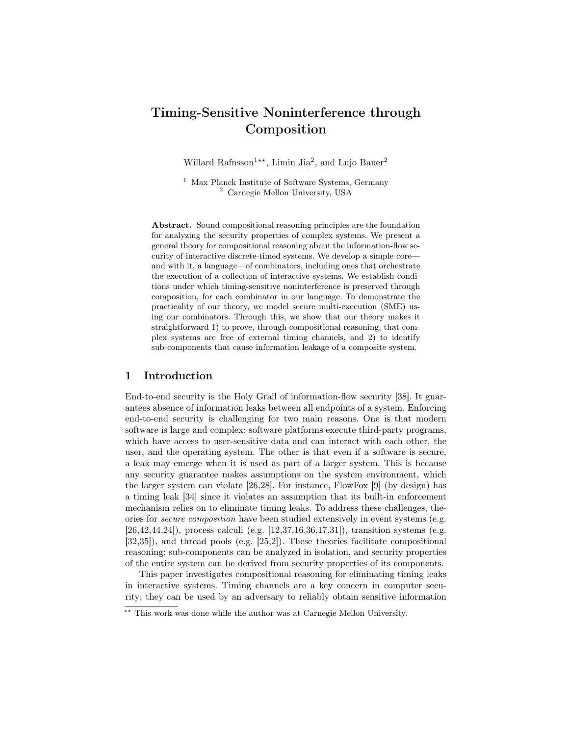# Timing-Sensitive Noninterference through Composition

Willard Rafnsson<sup>1\*\*</sup>, Limin Jia<sup>2</sup>, and Lujo Bauer<sup>2</sup>

<sup>1</sup> Max Planck Institute of Software Systems, Germany <sup>2</sup> Carnegie Mellon University, USA

Abstract. Sound compositional reasoning principles are the foundation for analyzing the security properties of complex systems. We present a general theory for compositional reasoning about the information-flow security of interactive discrete-timed systems. We develop a simple core and with it, a language—of combinators, including ones that orchestrate the execution of a collection of interactive systems. We establish conditions under which timing-sensitive noninterference is preserved through composition, for each combinator in our language. To demonstrate the practicality of our theory, we model secure multi-execution (SME) using our combinators. Through this, we show that our theory makes it straightforward 1) to prove, through compositional reasoning, that complex systems are free of external timing channels, and 2) to identify sub-components that cause information leakage of a composite system.

### 1 Introduction

End-to-end security is the Holy Grail of information-flow security [38]. It guarantees absence of information leaks between all endpoints of a system. Enforcing end-to-end security is challenging for two main reasons. One is that modern software is large and complex: software platforms execute third-party programs, which have access to user-sensitive data and can interact with each other, the user, and the operating system. The other is that even if a software is secure, a leak may emerge when it is used as part of a larger system. This is because any security guarantee makes assumptions on the system environment, which the larger system can violate [26,28]. For instance, FlowFox [9] (by design) has a timing leak [34] since it violates an assumption that its built-in enforcement mechanism relies on to eliminate timing leaks. To address these challenges, theories for secure composition have been studied extensively in event systems (e.g. [26,42,44,24]), process calculi (e.g. [12,37,16,36,17,31]), transition systems (e.g. [32,35]), and thread pools (e.g. [25,2]). These theories facilitate compositional reasoning: sub-components can be analyzed in isolation, and security properties of the entire system can be derived from security properties of its components.

This paper investigates compositional reasoning for eliminating timing leaks in interactive systems. Timing channels are a key concern in computer security; they can be used by an adversary to reliably obtain sensitive information

<sup>\*\*</sup> This work was done while the author was at Carnegie Mellon University.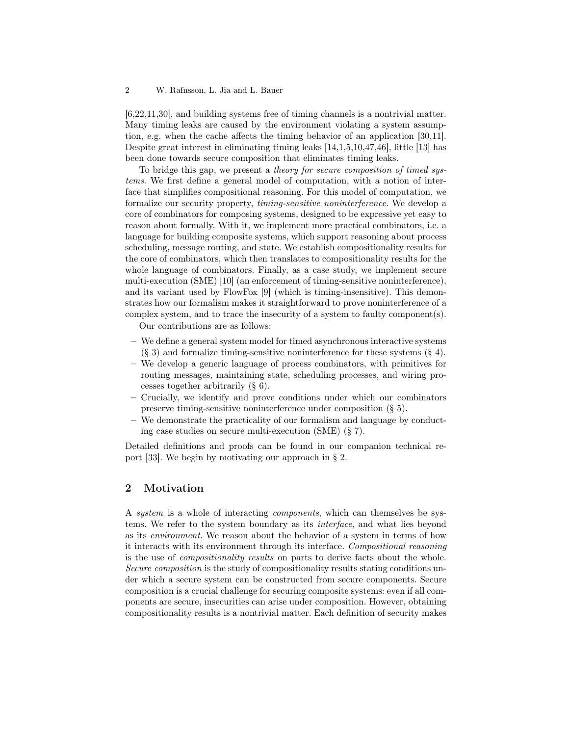[6,22,11,30], and building systems free of timing channels is a nontrivial matter. Many timing leaks are caused by the environment violating a system assumption, e.g. when the cache affects the timing behavior of an application [30,11]. Despite great interest in eliminating timing leaks [14,1,5,10,47,46], little [13] has been done towards secure composition that eliminates timing leaks.

To bridge this gap, we present a theory for secure composition of timed systems. We first define a general model of computation, with a notion of interface that simplifies compositional reasoning. For this model of computation, we formalize our security property, timing-sensitive noninterference. We develop a core of combinators for composing systems, designed to be expressive yet easy to reason about formally. With it, we implement more practical combinators, i.e. a language for building composite systems, which support reasoning about process scheduling, message routing, and state. We establish compositionality results for the core of combinators, which then translates to compositionality results for the whole language of combinators. Finally, as a case study, we implement secure multi-execution (SME) [10] (an enforcement of timing-sensitive noninterference), and its variant used by FlowFox [9] (which is timing-insensitive). This demonstrates how our formalism makes it straightforward to prove noninterference of a complex system, and to trace the insecurity of a system to faulty component(s).

Our contributions are as follows:

- We define a general system model for timed asynchronous interactive systems  $(\S 3)$  and formalize timing-sensitive noninterference for these systems  $(\S 4)$ .
- We develop a generic language of process combinators, with primitives for routing messages, maintaining state, scheduling processes, and wiring processes together arbitrarily (§ 6).
- Crucially, we identify and prove conditions under which our combinators preserve timing-sensitive noninterference under composition (§ 5).
- We demonstrate the practicality of our formalism and language by conducting case studies on secure multi-execution (SME) (§ 7).

Detailed definitions and proofs can be found in our companion technical report [33]. We begin by motivating our approach in § 2.

# 2 Motivation

A system is a whole of interacting components, which can themselves be systems. We refer to the system boundary as its interface, and what lies beyond as its environment. We reason about the behavior of a system in terms of how it interacts with its environment through its interface. Compositional reasoning is the use of compositionality results on parts to derive facts about the whole. Secure composition is the study of compositionality results stating conditions under which a secure system can be constructed from secure components. Secure composition is a crucial challenge for securing composite systems: even if all components are secure, insecurities can arise under composition. However, obtaining compositionality results is a nontrivial matter. Each definition of security makes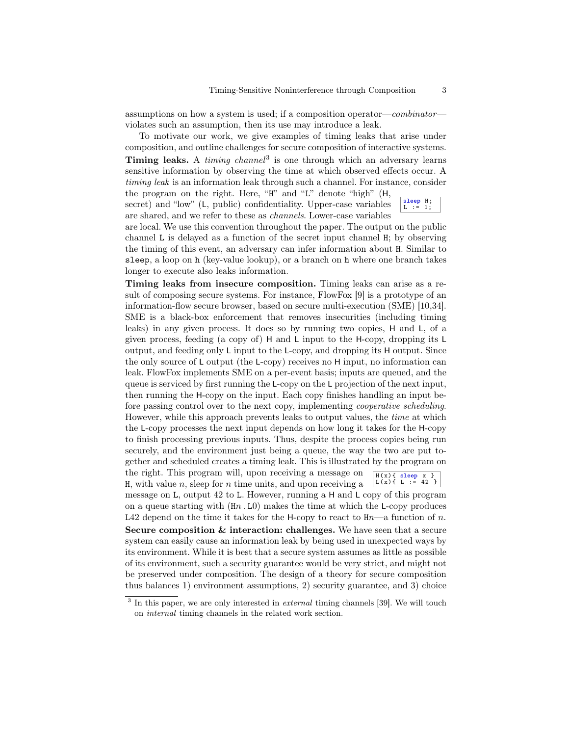assumptions on how a system is used; if a composition operator—combinator violates such an assumption, then its use may introduce a leak.

To motivate our work, we give examples of timing leaks that arise under composition, and outline challenges for secure composition of interactive systems. Timing leaks. A *timing channel*<sup>3</sup> is one through which an adversary learns sensitive information by observing the time at which observed effects occur. A timing leak is an information leak through such a channel. For instance, consider the program on the right. Here, "H" and "L" denote "high" (H,

secret) and "low" (L, public) confidentiality. Upper-case variables are shared, and we refer to these as channels. Lower-case variables

are local. We use this convention throughout the paper. The output on the public channel L is delayed as a function of the secret input channel H; by observing the timing of this event, an adversary can infer information about H. Similar to sleep, a loop on h (key-value lookup), or a branch on h where one branch takes longer to execute also leaks information.

Timing leaks from insecure composition. Timing leaks can arise as a result of composing secure systems. For instance, FlowFox [9] is a prototype of an information-flow secure browser, based on secure multi-execution (SME) [10,34]. SME is a black-box enforcement that removes insecurities (including timing leaks) in any given process. It does so by running two copies, H and L, of a given process, feeding (a copy of) H and L input to the H-copy, dropping its L output, and feeding only L input to the L-copy, and dropping its H output. Since the only source of L output (the L-copy) receives no H input, no information can leak. FlowFox implements SME on a per-event basis; inputs are queued, and the queue is serviced by first running the L-copy on the L projection of the next input, then running the H-copy on the input. Each copy finishes handling an input before passing control over to the next copy, implementing cooperative scheduling. However, while this approach prevents leaks to output values, the time at which the L-copy processes the next input depends on how long it takes for the H-copy to finish processing previous inputs. Thus, despite the process copies being run securely, and the environment just being a queue, the way the two are put together and scheduled creates a timing leak. This is illustrated by the program on

the right. This program will, upon receiving a message on H, with value  $n$ , sleep for  $n$  time units, and upon receiving a

H( x){ sleep x } L( x){ L := 42 }

message on L, output 42 to L. However, running a H and L copy of this program on a queue starting with  $(Hn L0)$  makes the time at which the L-copy produces L42 depend on the time it takes for the H-copy to react to  $\text{H}n$ —a function of n.

Secure composition & interaction: challenges. We have seen that a secure system can easily cause an information leak by being used in unexpected ways by its environment. While it is best that a secure system assumes as little as possible of its environment, such a security guarantee would be very strict, and might not be preserved under composition. The design of a theory for secure composition thus balances 1) environment assumptions, 2) security guarantee, and 3) choice

sleep H; L := 1;

 $3$  In this paper, we are only interested in *external* timing channels [39]. We will touch on internal timing channels in the related work section.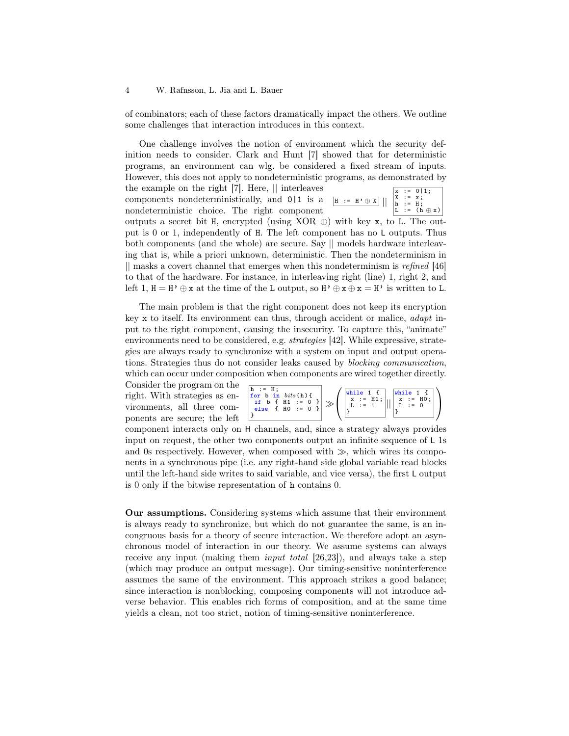of combinators; each of these factors dramatically impact the others. We outline some challenges that interaction introduces in this context.

One challenge involves the notion of environment which the security definition needs to consider. Clark and Hunt [7] showed that for deterministic programs, an environment can wlg. be considered a fixed stream of inputs. However, this does not apply to nondeterministic programs, as demonstrated by

the example on the right [7]. Here, || interleaves components nondeterministically, and 0|1 is a nondeterministic choice. The right component



outputs a secret bit H, encrypted (using XOR  $\oplus$ ) with key x, to L. The output is 0 or 1, independently of H. The left component has no L outputs. Thus both components (and the whole) are secure. Say || models hardware interleaving that is, while a priori unknown, deterministic. Then the nondeterminism in || masks a covert channel that emerges when this nondeterminism is refined [46] to that of the hardware. For instance, in interleaving right (line) 1, right 2, and left 1,  $H = H' \oplus x$  at the time of the L output, so  $H' \oplus x \oplus x = H'$  is written to L.

The main problem is that the right component does not keep its encryption key x to itself. Its environment can thus, through accident or malice, adapt input to the right component, causing the insecurity. To capture this, "animate" environments need to be considered, e.g. strategies [42]. While expressive, strategies are always ready to synchronize with a system on input and output operations. Strategies thus do not consider leaks caused by blocking communication, which can occur under composition when components are wired together directly.

Consider the program on the right. With strategies as environments, all three components are secure; the left

$$
\begin{array}{|l|l|l|}\hline h&:=&H\,;\\ \hline \text{for }b&\text{in }bits\,(h)\,\{\cr &\text{if }b\;\{\;H1\;:=\;0\;\}\cr \text{else} &\;\{H0\;:=\;0\;\}\end{array}\Rightarrow \left(\begin{array}{|l|l|}\hline \text{while }1\;\{\right.\\ x:=&H1\,;\\ L:=&1\end{array}\right)||\begin{array}{|l|l|}\hline x:=&H0\,;\\ x:=&H0\,;\\ L:=&0\end{array}\right)
$$

component interacts only on H channels, and, since a strategy always provides input on request, the other two components output an infinite sequence of L 1s and 0s respectively. However, when composed with  $\gg$ , which wires its components in a synchronous pipe (i.e. any right-hand side global variable read blocks until the left-hand side writes to said variable, and vice versa), the first L output is 0 only if the bitwise representation of h contains 0.

Our assumptions. Considering systems which assume that their environment is always ready to synchronize, but which do not guarantee the same, is an incongruous basis for a theory of secure interaction. We therefore adopt an asynchronous model of interaction in our theory. We assume systems can always receive any input (making them *input total* [26,23]), and always take a step (which may produce an output message). Our timing-sensitive noninterference assumes the same of the environment. This approach strikes a good balance; since interaction is nonblocking, composing components will not introduce adverse behavior. This enables rich forms of composition, and at the same time yields a clean, not too strict, notion of timing-sensitive noninterference.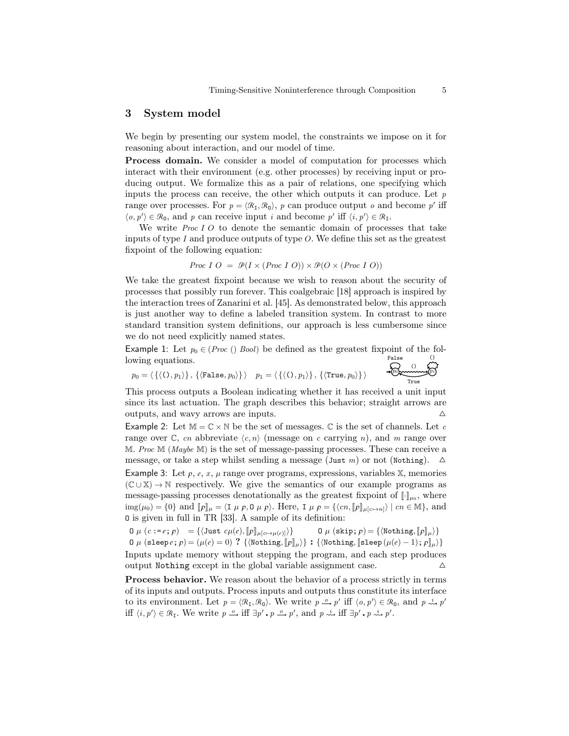### 3 System model

We begin by presenting our system model, the constraints we impose on it for reasoning about interaction, and our model of time.

Process domain. We consider a model of computation for processes which interact with their environment (e.g. other processes) by receiving input or producing output. We formalize this as a pair of relations, one specifying which inputs the process can receive, the other which outputs it can produce. Let  $p$ range over processes. For  $p = \langle \mathcal{R}_I, \mathcal{R}_0 \rangle$ , p can produce output o and become p' iff  $\langle o, p' \rangle \in \mathcal{R}_0$ , and p can receive input i and become p' iff  $\langle i, p' \rangle \in \mathcal{R}_1$ .

We write *Proc I O* to denote the semantic domain of processes that take inputs of type  $I$  and produce outputs of type  $O$ . We define this set as the greatest fixpoint of the following equation:

*Proc I O* = 
$$
\mathcal{P}(I \times (Proc I O)) \times \mathcal{P}(O \times (Proc I O))
$$

We take the greatest fixpoint because we wish to reason about the security of processes that possibly run forever. This coalgebraic [18] approach is inspired by the interaction trees of Zanarini et al. [45]. As demonstrated below, this approach is just another way to define a labeled transition system. In contrast to more standard transition system definitions, our approach is less cumbersome since we do not need explicitly named states.

Example 1: Let  $p_0 \in (Proc\ ()\ Bool)$  be defined as the greatest fixpoint of the following equations. False ()<br>پمبر

$$
p_0 = \langle \{ \langle O, p_1 \rangle \}, \{ \langle \texttt{False}, p_0 \rangle \} \rangle \quad p_1 = \langle \{ \langle O, p_1 \rangle \}, \{ \langle \texttt{True}, p_0 \rangle \} \rangle \quad \text{where}
$$

This process outputs a Boolean indicating whether it has received a unit input since its last actuation. The graph describes this behavior; straight arrows are outputs, and wavy arrows are inputs.  $\Delta$ 

Example 2: Let  $M = \mathbb{C} \times \mathbb{N}$  be the set of messages.  $\mathbb C$  is the set of channels. Let c range over  $\mathbb{C}$ , cn abbreviate  $\langle c, n \rangle$  (message on c carrying n), and m range over M. Proc M (Maybe M) is the set of message-passing processes. These can receive a message, or take a step whilst sending a message (Just m) or not (Nothing).  $\Delta$ 

Example 3: Let  $p, e, x, \mu$  range over programs, expressions, variables X, memories  $(\mathbb{C} \cup \mathbb{X}) \to \mathbb{N}$  respectively. We give the semantics of our example programs as message-passing processes denotationally as the greatest fixpoint of  $[\cdot]_{\mu_0}$ , where img( $\mu_0$ ) = {0} and  $[\![p]\!]_\mu = \langle I \mu \rho, 0 \mu \rho \rangle$ . Here, I  $\mu \rho = {\langle \langle cn, [\![p]\!]_{\mu[c \mapsto n]} \rangle | cn \in M}$ , and O is given in full in TR [33]. A sample of its definition:

$$
0 \mu (c := e; p) = \{ \langle \text{Just } c\mu(e), [\![p]\!]_{\mu[c \mapsto \mu(e)]} \} \qquad 0 \mu (\text{skip}; p) = \{ \langle \text{Nothing}, [\![p]\!]_{\mu} \} \}
$$

0 
$$
\mu
$$
 (sleep *e*; *p*) = ( $\mu$ (*e*) = 0) ? { $\{\text{Nothing}, [\![p]\!]_\mu\}$  : { $\{\text{Nothing}, [\![\text{sleep}(\mu(e) - 1); p]\!]_\mu\}$ } Inputs update memory without stepping the program, and each step produces

output Nothing except in the global variable assignment case.  $\Delta$ 

Process behavior. We reason about the behavior of a process strictly in terms of its inputs and outputs. Process inputs and outputs thus constitute its interface to its environment. Let  $p = \langle \mathcal{R}_{I}, \mathcal{R}_{0} \rangle$ . We write  $p \stackrel{o}{\longrightarrow} p'$  iff  $\langle o, p' \rangle \in \mathcal{R}_{0}$ , and  $p \stackrel{i}{\leadsto} p'$ iff  $\langle i, p' \rangle \in \mathcal{R}_{I}$ . We write  $p \stackrel{o}{\longrightarrow}$  iff  $\exists p' \cdot p \stackrel{o}{\longrightarrow} p'$ , and  $p \stackrel{i}{\leadsto}$  iff  $\exists p' \cdot p \stackrel{i}{\leadsto} p'$ .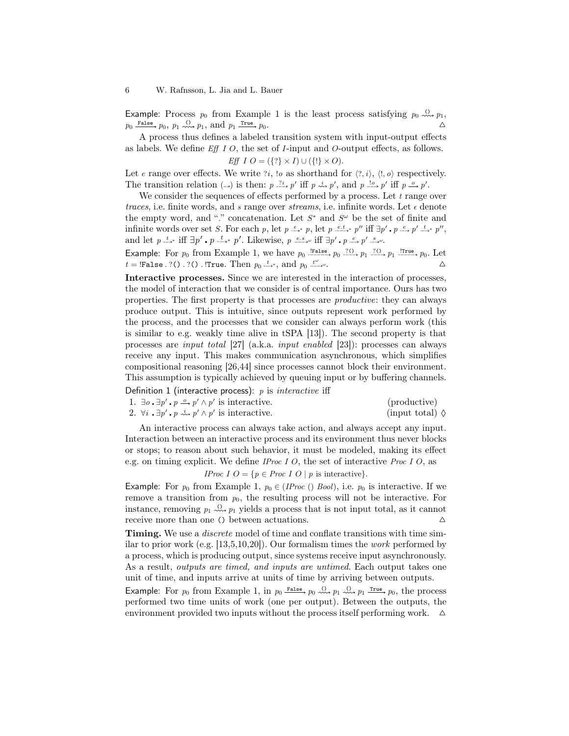Example: Process  $p_0$  from Example 1 is the least process satisfying  $p_0 \stackrel{(1)}{\rightsquigarrow} p_1$ ,  $p_0 \xrightarrow{\text{False}} p_0, p_1 \xrightarrow{\text{()}} p_1, \text{ and } p_1 \xrightarrow{\text{True}} p_0.$ 

A process thus defines a labeled transition system with input-output effects as labels. We define  $Eff I O$ , the set of *I*-input and *O*-output effects, as follows. Eff  $I O = (\{? \} \times I) \cup (\{? \} \times O).$ 

Let e range over effects. We write  $i$ , to as shorthand for  $\langle 2, i \rangle$ ,  $\langle 1, o \rangle$  respectively. The transition relation  $(\rightarrow)$  is then:  $p \stackrel{?i}{\longrightarrow} p'$  iff  $p \stackrel{i}{\longrightarrow} p'$ , and  $p \stackrel{!o}{\longrightarrow} p'$  iff  $p \stackrel{o}{\longrightarrow} p'$ .

We consider the sequences of effects performed by a process. Let  $t$  range over traces, i.e. finite words, and s range over streams, i.e. infinite words. Let  $\epsilon$  denote the empty word, and "." concatenation. Let  $S^*$  and  $S^{\omega}$  be the set of finite and infinite words over set S. For each p, let  $p \stackrel{\epsilon}{\longrightarrow} p$ , let  $p \stackrel{e.t}{\longrightarrow} p''$  iff  $\exists p' \cdot p \stackrel{e}{\longrightarrow} p' \stackrel{t}{\longrightarrow} p''$ , and let  $p \stackrel{t}{\longrightarrow}$  iff  $\exists p' \cdot p \stackrel{t}{\longrightarrow} p'$ . Likewise,  $p \stackrel{e.s.}{\longrightarrow}$  iff  $\exists p' \cdot p \stackrel{e}{\longrightarrow} p' \stackrel{s}{\longrightarrow} \emptyset$ .

Example: For  $p_0$  from Example 1, we have  $p_0 \stackrel{\text{[False}}{\longrightarrow} p_0 \stackrel{?(0)}{\longrightarrow} p_1 \stackrel{?(1)}{\longrightarrow} p_1 \stackrel{\text{!True}}{\longrightarrow} p_0$ . Let  $t =$  !False . ?() . ?() . !True. Then  $p_0 \stackrel{t}{\longrightarrow}$ , and  $p_0 \stackrel{t}{\longrightarrow}$  $\omega$ .

Interactive processes. Since we are interested in the interaction of processes, the model of interaction that we consider is of central importance. Ours has two properties. The first property is that processes are productive: they can always produce output. This is intuitive, since outputs represent work performed by the process, and the processes that we consider can always perform work (this is similar to e.g. weakly time alive in tSPA [13]). The second property is that processes are input total [27] (a.k.a. input enabled [23]): processes can always receive any input. This makes communication asynchronous, which simplifies compositional reasoning [26,44] since processes cannot block their environment. This assumption is typically achieved by queuing input or by buffering channels.

Definition 1 (interactive process):  $p$  is *interactive* iff

| 1. $\exists o \cdot \exists p' \cdot p \stackrel{o}{\longrightarrow} p' \wedge p'$ is interactive. | (productive)             |
|----------------------------------------------------------------------------------------------------|--------------------------|
| 2. $\forall i \cdot \exists p' \cdot p \stackrel{i}{\leadsto} p' \wedge p'$ is interactive.        | (input total) $\Diamond$ |

An interactive process can always take action, and always accept any input. Interaction between an interactive process and its environment thus never blocks or stops; to reason about such behavior, it must be modeled, making its effect e.g. on timing explicit. We define *IProc I O*, the set of interactive *Proc I O*, as

*IProc I O* = 
$$
\{p \in Proc \mid O \mid p \text{ is interactive}\}.
$$

Example: For  $p_0$  from Example 1,  $p_0 \in (IProc\text{() }Bool)$ , i.e.  $p_0$  is interactive. If we remove a transition from  $p_0$ , the resulting process will not be interactive. For instance, removing  $p_1 \stackrel{\text{O}}{\longrightarrow} p_1$  yields a process that is not input total, as it cannot receive more than one () between actuations.  $\Delta$ 

**Timing.** We use a *discrete* model of time and conflate transitions with time similar to prior work (e.g.  $[13,5,10,20]$ ). Our formalism times the *work* performed by a process, which is producing output, since systems receive input asynchronously. As a result, outputs are timed, and inputs are untimed. Each output takes one unit of time, and inputs arrive at units of time by arriving between outputs.

Example: For  $p_0$  from Example 1, in  $p_0$  False,  $p_0 \stackrel{(1)}{\sim} p_1 \stackrel{(1)}{\sim} p_1 \stackrel{\text{True}}{\sim} p_0$ , the process performed two time units of work (one per output). Between the outputs, the environment provided two inputs without the process itself performing work.  $\Delta$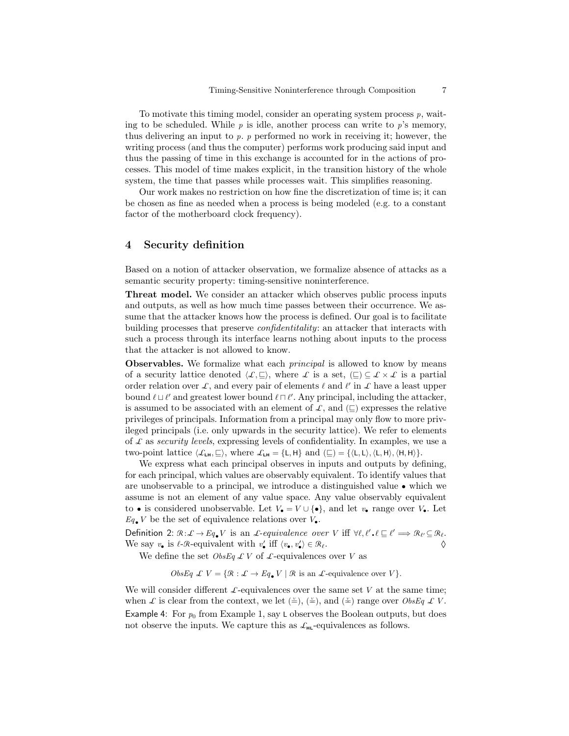To motivate this timing model, consider an operating system process  $p$ , waiting to be scheduled. While  $p$  is idle, another process can write to  $p$ 's memory, thus delivering an input to  $p.$   $p$  performed no work in receiving it; however, the writing process (and thus the computer) performs work producing said input and thus the passing of time in this exchange is accounted for in the actions of processes. This model of time makes explicit, in the transition history of the whole system, the time that passes while processes wait. This simplifies reasoning.

Our work makes no restriction on how fine the discretization of time is; it can be chosen as fine as needed when a process is being modeled (e.g. to a constant factor of the motherboard clock frequency).

### 4 Security definition

Based on a notion of attacker observation, we formalize absence of attacks as a semantic security property: timing-sensitive noninterference.

Threat model. We consider an attacker which observes public process inputs and outputs, as well as how much time passes between their occurrence. We assume that the attacker knows how the process is defined. Our goal is to facilitate building processes that preserve confidentitality: an attacker that interacts with such a process through its interface learns nothing about inputs to the process that the attacker is not allowed to know.

Observables. We formalize what each *principal* is allowed to know by means of a security lattice denoted  $\langle \mathcal{L}, \square \rangle$ , where L is a set,  $(\square) \subseteq \mathcal{L} \times \mathcal{L}$  is a partial order relation over L, and every pair of elements  $\ell$  and  $\ell'$  in L have a least upper bound  $\ell \sqcup \ell'$  and greatest lower bound  $\ell \sqcap \ell'$ . Any principal, including the attacker, is assumed to be associated with an element of  $\mathcal{L}$ , and  $(\sqsubseteq)$  expresses the relative privileges of principals. Information from a principal may only flow to more privileged principals (i.e. only upwards in the security lattice). We refer to elements of  $\mathcal L$  as security levels, expressing levels of confidentiality. In examples, we use a two-point lattice  $\langle \mathcal{L}_{\text{LH}}, \underline{\square} \rangle$ , where  $\mathcal{L}_{\text{LH}} = {\text{L}, \text{H}}$  and  $(\underline{\square}) = {\text{L}, \text{L}, \langle \text{L}, \text{H} \rangle, \langle \text{H}, \text{H} \rangle}.$ 

We express what each principal observes in inputs and outputs by defining, for each principal, which values are observably equivalent. To identify values that are unobservable to a principal, we introduce a distinguished value • which we assume is not an element of any value space. Any value observably equivalent to • is considered unobservable. Let  $V_{\bullet} = V \cup \{\bullet\}$ , and let  $v_{\bullet}$  range over  $V_{\bullet}$ . Let  $Eq_{\bullet}$  V be the set of equivalence relations over  $V_{\bullet}$ .

Definition 2:  $\mathcal{R}: \mathcal{L} \to Eq_{\bullet}V$  is an *L*-equivalence over V iff  $\forall \ell, \ell' \cdot \ell \sqsubseteq \ell' \Longrightarrow \mathcal{R}_{\ell'} \subseteq \mathcal{R}_{\ell}$ . We say  $v_{\bullet}$  is  $\ell$ -R-equivalent with  $v'_{\bullet}$  iff  $\langle v_{\bullet}, v'_{\bullet} \rangle \in \mathcal{R}_{\ell}$ .

We define the set  $\mathit{ObsEq}\ \mathcal{L}\ V$  of  $\mathcal{L}\text{-equivalences over}\ V$  as

ObsEq  $\mathcal{L} V = \{ \mathcal{R} : \mathcal{L} \to Eq_{\bullet} V \mid \mathcal{R} \text{ is an } \mathcal{L}\text{-equivalence over } V \}.$ 

We will consider different  $\mathcal{L}\text{-equivalences over the same set }V$  at the same time; when L is clear from the context, we let  $(\leq), (\leq)$ , and  $(\leq)$  range over ObsEq L V. Example 4: For  $p_0$  from Example 1, say L observes the Boolean outputs, but does not observe the inputs. We capture this as  $\mathcal{L}_{HL}$ -equivalences as follows.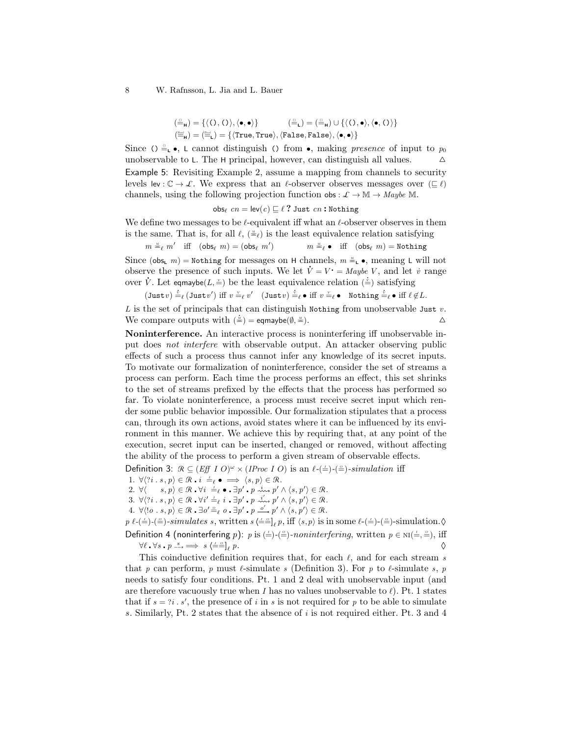$$
\begin{array}{ll} (\stackrel{\scriptscriptstyle{(1)}}{=}\;H) = \{\langle\langle\,0\,,\langle\,\rangle\rangle,\langle\bullet,\bullet\rangle\} & (\stackrel{\scriptscriptstyle{(2)}}{=}\;L) = (\stackrel{\scriptscriptstyle{(2)}}{=}\;H) \cup \{\langle\,0\,,\bullet\rangle,\langle\bullet,\langle\,\rangle\rangle\} \\ (\stackrel{\scriptscriptstyle{(3)}}{=}\;H) = (\stackrel{\scriptscriptstyle{(3)}}{=}\;L) = \{\langle \text{True},\text{True}\rangle,\langle\text{False},\text{False}\rangle,\langle\bullet,\bullet\rangle\} \end{array}
$$

Since ()  $\triangleq_{\mathsf{L}} \bullet$ , L cannot distinguish () from  $\bullet$ , making presence of input to  $p_0$ unobservable to L. The H principal, however, can distinguish all values.  $\triangle$ Example 5: Revisiting Example 2, assume a mapping from channels to security levels lev :  $\mathbb{C} \to \mathcal{L}$ . We express that an  $\ell$ -observer observes messages over  $(\sqsubseteq \ell)$ channels, using the following projection function  $\text{obs}: \mathcal{L} \to \mathbb{M} \to \text{Maybe } \mathbb{M}.$ 

obs $_{\ell}$  cn = lev(c)  $\subseteq \ell$  ? Just cn : Nothing

We define two messages to be  $\ell$ -equivalent iff what an  $\ell$ -observer observes in them is the same. That is, for all  $\ell$ ,  $(\equiv_{\ell})$  is the least equivalence relation satisfying

$$
m \stackrel{\scriptscriptstyle{\times}}{=} \ell m'
$$
 iff  $(\text{obs}_{\ell} m) = (\text{obs}_{\ell} m')$   $m \stackrel{\scriptscriptstyle{\times}}{=} \ell \bullet$  iff  $(\text{obs}_{\ell} m) = \text{Nothing}$ 

Since (obs<sub>L</sub> m) = Nothing for messages on H channels,  $m \stackrel{\ast}{=}$ **.** •, meaning L will not Since ( $\cos \theta$ ,  $m$ ) = Nothing for messages on  $\theta$  channels,  $m = \theta$ , meaning L win not observe the presence of such inputs. We let  $\dot{V} = V \cdot =$  Maybe V, and let  $\dot{v}$  range observe the presence of such inputs. We fet  $v = v = maybe v$ , and let<br>over  $\dot{V}$ . Let eqmaybe( $L, \dot{v}$ ) be the least equivalence relation ( $\dot{v}$ ) satisfying

 $(\text{Just } v) \stackrel{\cdot}{=}_{\ell} (\text{Just } v') \text{ iff } v \stackrel{\scriptscriptstyle{\vee}}{=}_{\ell} v' \quad (\text{Just } v) \stackrel{\scriptscriptstyle{\vee}}{=}_{\ell} \bullet \text{ iff } v \stackrel{\scriptscriptstyle{\vee}}{=}_{\ell} \bullet \text{ Nothing } \stackrel{\scriptscriptstyle{\vee}}{=}_{\ell} \bullet \text{ iff } \ell \notin L.$ 

L is the set of principals that can distinguish Nothing from unobservable Just  $v$ . We compare outputs with  $(\frac{2}{m})$  = eqmaybe( $\emptyset$ ,  $\equiv$ ).  $\Delta$ 

Noninterference. An interactive process is noninterfering iff unobservable input does not interfere with observable output. An attacker observing public effects of such a process thus cannot infer any knowledge of its secret inputs. To motivate our formalization of noninterference, consider the set of streams a process can perform. Each time the process performs an effect, this set shrinks to the set of streams prefixed by the effects that the process has performed so far. To violate noninterference, a process must receive secret input which render some public behavior impossible. Our formalization stipulates that a process can, through its own actions, avoid states where it can be influenced by its environment in this manner. We achieve this by requiring that, at any point of the execution, secret input can be inserted, changed or removed, without affecting the ability of the process to perform a given stream of observable effects.

Definition 3:  $\mathcal{R} \subseteq (Eff \, I \, O)^{\omega} \times (IProc \, I \, O)$  is an  $\ell$ -( $\stackrel{\perp}{=}$ )- $\stackrel{\sim}{=}$ )-simulation iff

- 1.  $\forall \langle ?i \, . \, s, p \rangle \in \mathcal{R} \cdot i \stackrel{\perp}{\Rightarrow} \bullet \implies \langle s, p \rangle \in \mathcal{R}$ .
- 2.  $\forall \langle s, p \rangle \in \mathcal{R} \cdot \forall i \equiv_{\ell} \bullet \cdot \exists p' \cdot p \stackrel{i}{\leadsto} p' \wedge \langle s, p' \rangle \in \mathcal{R}$ .
- 3.  $\forall \langle ?i \, . \, s, p \rangle \in \mathcal{R}$  .  $\forall i' \stackrel{\perp}{=} \ell \, i \, . \exists p' \cdot p \stackrel{i'}{\leadsto} p' \wedge \langle s, p' \rangle \in \mathcal{R}$ .
- 4.  $\forall \langle \exists o \cdot \exists o \in \emptyset \bullet \exists o' \exists \ell \ o \bullet \exists p' \bullet p' \land \langle s, p' \rangle \in \mathcal{R}.$

 $p \ell$ -( $\stackrel{\text{{\tiny (}}{\text{{\tiny \triangle}}} )}{}$ -( $\stackrel{\text{{\tiny (}}{\text{{\tiny \triangle}}} )}{}$ -simulates s, written s  $\langle \stackrel{\text{{\tiny \triangle}}} {=} \stackrel{\text{{\tiny \triangle} }}{=} \ell$ , iff  $\langle s, p \rangle$  is in some  $\ell$ -( $\stackrel{\text{{\tiny \triangle} }}{=}$ )-( $\stackrel{\text{{\tiny \triangle} }}{=}$ )-simulation.

Definition 4 (noninterfering p): p is  $(\frac{1}{2})$ - $(\frac{2}{2})$ -noninterfering, written  $p \in \text{NI}(\frac{1}{2}, \frac{2}{2})$ , iff  $\forall \ell \cdot \forall s \cdot p \stackrel{s}{\longrightarrow} \implies s \in \equiv^{\circ}e$  $p.$   $\diamond$ 

This coinductive definition requires that, for each  $\ell$ , and for each stream s that p can perform, p must  $\ell$ -simulate s (Definition 3). For p to  $\ell$ -simulate s, p needs to satisfy four conditions. Pt. 1 and 2 deal with unobservable input (and are therefore vacuously true when I has no values unobservable to  $\ell$ ). Pt. 1 states that if  $s = ?i$ . s', the presence of i in s is not required for p to be able to simulate s. Similarly, Pt. 2 states that the absence of i is not required either. Pt. 3 and 4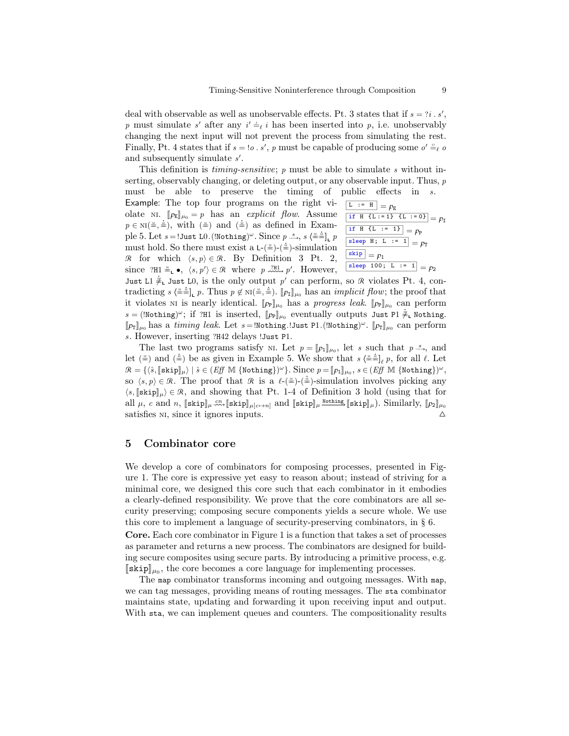deal with observable as well as unobservable effects. Pt. 3 states that if  $s = ?i \cdot s'$ , p must simulate s' after any  $i' \neq i$  has been inserted into p, i.e. unobservably changing the next input will not prevent the process from simulating the rest. Finally, Pt. 4 states that if  $s = 0.5$ , p must be capable of producing some  $o' \triangleq_{\ell} o$ and subsequently simulate  $s'$ .

This definition is  $t$ *iming-sensitive*;  $p$  must be able to simulate  $s$  without inserting, observably changing, or deleting output, or any observable input. Thus, p must be able to preserve the timing of public effects in s.

Example: The top four programs on the right violate NI.  $\llbracket p_{\mathbb{E}} \rrbracket_{\mu_0} = p$  has an explicit flow. Assume  $p \in \text{NI}(\frac{m}{\epsilon}, \frac{k}{m})$ , with  $(\frac{m}{\epsilon})$  and  $(\frac{k}{m})$  as defined in Exam $p \in M$ ,  $\binom{n}{2}$  and  $\binom{n}{2}$  as defined in Example 5. Let  $s = !$  Just L0. (Wothing)<sup> $\omega$ </sup>. Since  $p \stackrel{s}{\Rightarrow}$ ,  $s \left(\frac{\omega}{n}\right)$  p must hold. So there must exist a L- $(\stackrel{\text{*}}{=})-\text{simulation}$ R for which  $\langle s, p \rangle \in \mathcal{R}$ . By Definition 3 Pt. 2, since  $?H1 \triangleq_{\mathsf{L}} \bullet$ ,  $\langle s, p' \rangle \in \mathcal{R}$  where  $p \stackrel{?H1}{\sim \cdots} p'$ . However,  $\boxed{\begin{array}{ccc} \text{L} & \text{:=} & \text{H} \end{array}} = p_{\text{E}}$ if H {L := 1} {L := 0} =  $p_1$ if H {L := 1} =  $p_P$ sleep H; L  $:= 1$  =  $p_T$  $\sqrt{\frac{\text{skip}}{p}} = p_1$ sleep 100; L := 1 =  $p_2$ 

Just L1  $\neq$ , Just L0, is the only output p' can perform, so R violates Pt. 4, con- $\text{tradicting } s \stackrel{\text{def}}{=} \prod_{\text{L}} p.$  Thus  $p \notin \text{N}(\stackrel{\text{def}}{=} \prod_{\text{L}} p_1 | \mu_0 \text{ has an *implicit flow*; the proof that it includes  $\mu$  to  $\mu$ .$ it violates ni is nearly identical.  $[\![p_{\mathbb{P}}]\!]_{\mu_0}$  has a progress leak.  $[\![p_{\mathbb{P}}]\!]_{\mu_0}$  can perform  $s = (\text{Notating})^{\omega}; \text{ if } \text{and } \text{is inserted}, \text{[[}P_{\text{F}}\text{]]}_{\mu_0} \text{ has a } P_{\text{F}} \text{ systemed} \text{ with } \text{F}_{\text{F}} \text{ and } \text{F}_{\mu_0} \text{ with } \text{F}_{\mu_0} \text{ with } \text{F}_{\mu_0} \text{ with } \text{F}_{\mu_0} \text{ with } \text{F}_{\mu_0} \text{ with } \text{F}_{\mu_0} \text{ with } \text{F}_{\mu_0} \text{ with } \text{F}_{\mu_0} \text{ with } \text{F}_{\mu_0} \$  $[\![p_T]\!]_{\mu_0}$  has a timing leak. Let  $s =$  Nothing. Just P1. (Nothing)<sup> $\omega$ </sup>.  $[\![p_T]\!]_{\mu_0}$  can perform s. However, inserting ?H42 delays !Just P1.

The last two programs satisfy  $N!$ . Let  $p = [p_1]_{\mu_0}$ , let s such that  $p^{-s}$ , and  $(\alpha)$  be an element in Example 5. We show that  $\alpha^{(s)}$  is family 4. Let Let  $(\stackrel{\pm}{=})$  and  $(\stackrel{\pm}{=})$  be as given in Example 5. We show that  $s \stackrel{\pm}{=}\stackrel{\pm}{=}\frac{1}{\ell} p$ , for all  $\ell$ . Let  $\mathcal{R} = \{ \langle \hat{s}, [\textsf{skip}]_\mu \rangle \mid \hat{s} \in (Eff \text{ M } \{\text{Nothing}\})^\omega \}.$  Since  $p = [p_1]_{\mu_0}, s \in (Eff \text{ M } \{\text{Nothing}\})^\omega,$ so  $\langle s, p \rangle \in \mathcal{R}$ . The proof that  $\mathcal{R}$  is a  $\ell_{-\frac{\infty}{2}}(-\frac{\infty}{2})$ -simulation involves picking any  $\langle s, [\text{skip}]_\mu \rangle \in \mathcal{R}$ , and showing that Pt. 1-4 of Definition 3 hold (using that for all  $\mu$ , c and n,  $[\text{skip}]_{\mu} \stackrel{cn}{\ldots} [\text{skip}]_{\mu}$   $[\text{skip}]_{\mu}$  and  $[\text{skip}]_{\mu}$   $\text{script}]_{\mu}$ . Similarly,  $[p_2]_{\mu_0}$ satisfies  $N$ , since it ignores inputs.  $\Delta$ 

### 5 Combinator core

We develop a core of combinators for composing processes, presented in Figure 1. The core is expressive yet easy to reason about; instead of striving for a minimal core, we designed this core such that each combinator in it embodies a clearly-defined responsibility. We prove that the core combinators are all security preserving; composing secure components yields a secure whole. We use this core to implement a language of security-preserving combinators, in  $\S$  6.

Core. Each core combinator in Figure 1 is a function that takes a set of processes as parameter and returns a new process. The combinators are designed for building secure composites using secure parts. By introducing a primitive process, e.g.  $[\text{skip}]\mu_0$ , the core becomes a core language for implementing processes.<br>The real equivalent transforms incoming and outgoing messages W

The map combinator transforms incoming and outgoing messages. With map, we can tag messages, providing means of routing messages. The sta combinator maintains state, updating and forwarding it upon receiving input and output. With sta, we can implement queues and counters. The compositionality results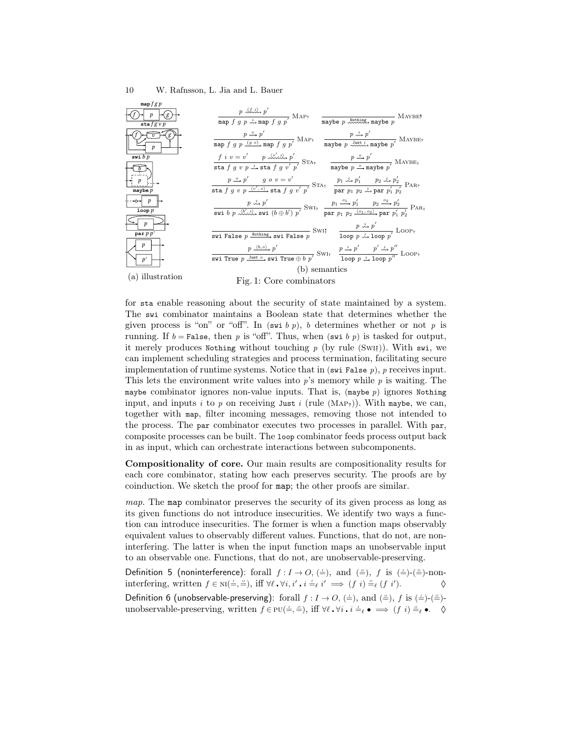| map $fgp$                                            |                                                                                                                                                                                                                                                                                                                                                                                   |
|------------------------------------------------------|-----------------------------------------------------------------------------------------------------------------------------------------------------------------------------------------------------------------------------------------------------------------------------------------------------------------------------------------------------------------------------------|
| $\sin f g v p$                                       | $\frac{p \sqrt{f} \cdot \hat{p}'}{\text{map } f \cdot g \cdot p \cdot \hat{f} \cdot \text{map } f \cdot g \cdot p'} \text{ MAP?}$<br>$\overline{\text{maybe } p \xrightarrow{\text{Nothing}} \text{maybe } p} \text{} \text{} \text{} \text{} \text{} \text{} \text{} \text{}$                                                                                                    |
| p                                                    | $\frac{p \stackrel{o}{\rightarrow} p'}{\text{map } f \ q \ p} \frac{p \stackrel{o}{\rightarrow} p'}{\text{map } f \ q \ p'} \text{MAP}_1 \quad \frac{p \stackrel{i}{\rightarrow} p'}{\text{map } p \ \stackrel{\text{Myst}}{\rightarrow} \text{map } p'} \text{MAP}_2$                                                                                                            |
| swi $b p$                                            | $\frac{f i v = v'}{\text{sta } f g v p \stackrel{i}{\leadsto} \text{sta } f g v'} \frac{f' \stackrel{\triangle}{\leadsto} \text{sta } f'}{\text{sta } f g v' p'} \text{STA?}$<br>$\frac{p \stackrel{o}{\longrightarrow} p'}{\text{maybe } p \stackrel{o}{\longrightarrow} \text{maybe } p'} \text{MAYBE!}$                                                                        |
|                                                      |                                                                                                                                                                                                                                                                                                                                                                                   |
|                                                      | $\frac{p \stackrel{o}{\rightarrow} p'}{\text{sta } f \ q \ v \ p} \stackrel{p'}{\rightarrow} \frac{f'}{f} \frac{g \ o \ v = v'}{\text{sta } f \ q \ v' \ p'} \text{STA} \ \frac{p_1 \stackrel{i}{\rightarrow} p'_1}{\text{par } p_1 \ p_2 \stackrel{j}{\rightarrow} \text{par } p'_1 \ p'_2}{\text{par } p_1 \ p_2 \stackrel{j}{\rightarrow} \text{par } p'_1 \ p'_2} \text{PAR}$ |
| maybe $p$                                            |                                                                                                                                                                                                                                                                                                                                                                                   |
| $\leftarrow \rightarrow \rightarrow p$<br>$loop$ $p$ | $\frac{p \stackrel{i}{\rightsquigarrow} p'}{\text{swi b } p \stackrel{j}{\rightsquigarrow} \sim^{N \rightarrow b'} \text{swi } (b \oplus b') p'} \text{SW1}_? \quad \frac{p_1 \stackrel{o_1}{\shortquigarrow} p'_1}{\text{par } p_1 p_2 \stackrel{o_2}{\shortquigarrow} p_2 \text{par } p'_1 p'_2} \text{PAR}_?$                                                                  |
| $\boldsymbol{p}$                                     | $\overline{\text{swi False $p$ $\stackrel{\text{Nothing}}{\\ \text{swi False $p$}}} \text{swi False $p$} } \text{Swi!} \quad \frac{p {\stackrel{\circ}{\sim} } p'}{\text{loop $p$ $\stackrel{\circ}{\sim} } \text{loop $p'$}} \text{Loop?}$                                                                                                                                       |
| parp p'                                              |                                                                                                                                                                                                                                                                                                                                                                                   |
| p                                                    | $\frac{p \stackrel{(b,o)}{\longrightarrow} p'}{\texttt{svi True}} \frac{p \stackrel{(b,o)}{\longrightarrow} p'}{p \texttt{svi True} \oplus b \ p'} \texttt{SwI}_! \quad \frac{p \stackrel{i}{\longrightarrow} p'}{\texttt{loop } p \stackrel{i}{\longrightarrow} \texttt{loop } p''} \texttt{Loop}_!$                                                                             |
| p'                                                   |                                                                                                                                                                                                                                                                                                                                                                                   |
|                                                      | (b) semantics                                                                                                                                                                                                                                                                                                                                                                     |
| (a) illustration                                     | Fig. 1: Core combinators                                                                                                                                                                                                                                                                                                                                                          |

for sta enable reasoning about the security of state maintained by a system. The swi combinator maintains a Boolean state that determines whether the given process is "on" or "off". In (swi b p), b determines whether or not p is running. If  $b =$  False, then p is "off". Thus, when (swi b p) is tasked for output, it merely produces Nothing without touching p (by rule  $(Sw1)$ ). With swi, we can implement scheduling strategies and process termination, facilitating secure implementation of runtime systems. Notice that in  $(\text{swi False } p)$ , p receives input. This lets the environment write values into  $p$ 's memory while  $p$  is waiting. The maybe combinator ignores non-value inputs. That is,  $(\text{maybe } p)$  ignores Nothing input, and inputs i to p on receiving Just i (rule  $(MAP<sub>2</sub>)$ ). With maybe, we can, together with map, filter incoming messages, removing those not intended to the process. The par combinator executes two processes in parallel. With par, composite processes can be built. The loop combinator feeds process output back in as input, which can orchestrate interactions between subcomponents.

Compositionality of core. Our main results are compositionality results for each core combinator, stating how each preserves security. The proofs are by coinduction. We sketch the proof for map; the other proofs are similar.

map. The map combinator preserves the security of its given process as long as its given functions do not introduce insecurities. We identify two ways a function can introduce insecurities. The former is when a function maps observably equivalent values to observably different values. Functions, that do not, are noninterfering. The latter is when the input function maps an unobservable input to an observable one. Functions, that do not, are unobservable-preserving.

Definition 5 (noninterference): forall  $f: I \to O, (\equiv)$ , and  $(\equiv)$ , f is  $(\equiv)$ - $(\equiv)$ -noninterfering, written  $f \in NI(\frac{1}{2}, \frac{3}{2})$ , iff  $\forall \ell \cdot \forall i, i' \cdot i \stackrel{i}{\neq} i' \implies (f \ i) \stackrel{\circ}{\Rightarrow} (f \ i').$ 

Definition 6 (unobservable-preserving): forall  $f: I \to O, (\stackrel{\perp}{=}),$  and  $(\stackrel{\triangle}{=}), f$  is  $(\stackrel{\perp}{=})$ - $(\stackrel{\triangle}{=})$ unobservable-preserving, written  $f \in PU(\frac{1}{\overline{z}}, \frac{1}{\overline{z}})$ , iff  $\forall \ell \cdot \forall i \cdot i \stackrel{i}{=}\ell \bullet \implies (f \ i) \stackrel{\circ}{=}\ell \bullet$ .  $\diamond$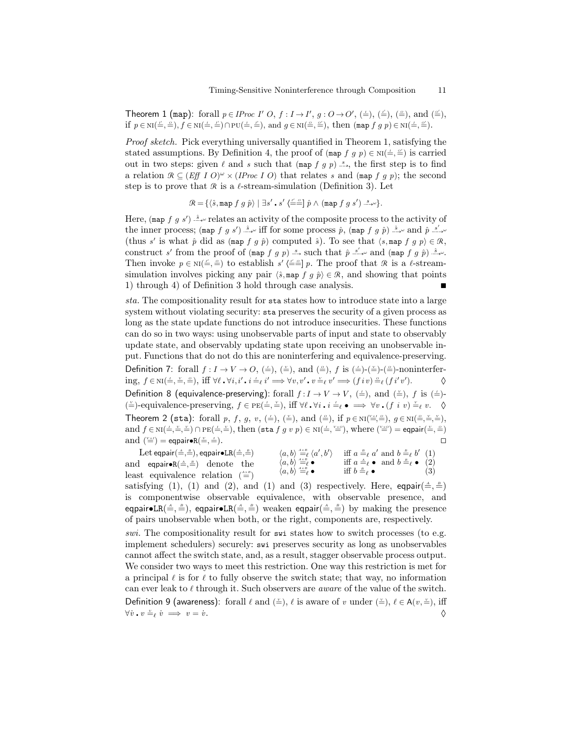Theorem 1 (map): forall  $p \in \text{IProc}\ I' \ O, f : I \rightarrow I', g : O \rightarrow O', (\doteq), (\doteq), (\doteq),$  and  $(\doteq),$ if  $p \in \text{NI}(\underline{\underline{\tau}}, \underline{\underline{\epsilon}}), f \in \text{NI}(\underline{\underline{\tau}}, \underline{\underline{\tau}}') \cap \text{PU}(\underline{\underline{\tau}}, \underline{\underline{\tau}}'),$  and  $g \in \text{NI}(\underline{\underline{\epsilon}}, \underline{\underline{\epsilon}}'),$  then  $(\text{map } f \ g \ p) \in \text{NI}(\underline{\underline{\tau}}, \underline{\underline{\epsilon}}').$ 

Proof sketch. Pick everything universally quantified in Theorem 1, satisfying the stated assumptions. By Definition 4, the proof of  $(\text{map } f g p) \in \text{NI}(\pm, \leq)$  is carried out in two steps: given  $\ell$  and s such that (map f g p)  $\leq$ , the first step is to find a relation  $\mathcal{R} \subseteq (Eff \, I \, O)^{\omega} \times (I \, Proc \, I \, O)$  that relates s and (map f g p); the second step is to prove that R is a  $\ell$ -stream-simulation (Definition 3). Let

$$
\mathcal{R} = \{ \langle \hat{s}, \text{map } f \; g \; \hat{p} \rangle \; | \; \exists s' \cdot s' \; \langle \underline{f'} \underline{=} \underline{f} \; \hat{p} \; \wedge \; (\text{map } f \; g \; s') \xrightarrow{s_{\ast \omega}} \}.
$$

Here, (map f g s')  $\stackrel{\hat{s}}{\rightarrow} \infty$  relates an activity of the composite process to the activity of the inner process; (map  $f$  g s')  $\hat{B}$ , w iff for some process  $\hat{p}$ , (map  $f$  g  $\hat{p}$ )  $\hat{B}$ , w and  $\hat{p}$   $\hat{S}'$ , w (thus s' is what  $\hat{p}$  did as (map f g  $\hat{p}$ ) computed  $\hat{s}$ ). To see that  $\langle s, \text{map } f \text{ g } p \rangle \in \mathcal{R}$ , construct s' from the proof of (map f g p) since that  $\hat{p}$  since and (map f g  $\hat{p}$ ) since Then invoke  $p \in \text{NI}(\underline{\underline{\tau}}, \underline{\underline{\epsilon}})$  to establish  $s'(\underline{\underline{\tau}}, \underline{\underline{\epsilon}})$  p. The proof that  $\Re$  is a  $\ell$ -streamsimulation involves picking any pair  $\langle \hat{s}, \text{map } f \mid q \hat{p} \rangle \in \mathcal{R}$ , and showing that points 1) through 4) of Definition 3 hold through case analysis.

sta. The compositionality result for sta states how to introduce state into a large system without violating security: sta preserves the security of a given process as long as the state update functions do not introduce insecurities. These functions can do so in two ways: using unobservable parts of input and state to observably update state, and observably updating state upon receiving an unobservable input. Functions that do not do this are noninterfering and equivalence-preserving. Definition 7: forall  $f: I \to V \to O$ ,  $(\neq)$ ,  $(\cong)$ , and  $(\triangleq)$ ,  $f$  is  $(\neq)$ - $(\triangleq)$ - $(\triangleq)$ -noninterfer- $\text{ing, } f \in \text{NI}(\exists, \frac{v}{n}, \frac{\alpha}{n})$ , iff  $\forall \ell \cdot \forall i, i' \cdot i \stackrel{i}{\Rightarrow} i' \implies \forall v, v' \cdot v \stackrel{v}{\Rightarrow} v' \implies (f i v) \stackrel{\alpha}{\Rightarrow} (f i' v'$  $\Diamond$ Definition 8 (equivalence-preserving): forall  $f: I \to V \to V$ ,  $(\frac{1}{\epsilon})$ , and  $(\frac{1}{\epsilon})$ , f is  $(\frac{1}{\epsilon})$ - $(\stackrel{\vee}{=})-$  equivalence-preserving,  $f \in PE(\stackrel{\perp}{=}, \stackrel{\vee}{=})$ , iff ∀ $\ell \cdot \forall i \cdot i \stackrel{i}{=}\ell \bullet \implies \forall v \cdot (f \ i \ v) \stackrel{\vee}{=}\ell \ v.$   $\Diamond$ Theorem 2 (sta): forall p, f, g, v,  $(\stackrel{\perp}{=}), (\stackrel{\vee}{=}),$  and  $(\stackrel{\triangle}{=}),$  if  $p \in \text{NI}(\stackrel{\vee \times I}{=}, \stackrel{\triangle}{=})$ ,  $g \in \text{NI}(\stackrel{\triangle}{=}, \stackrel{\vee}{=}, \stackrel{\vee}{=})$ , and  $f \in \text{NI}(\frac{1}{n}, \frac{y}{n}, \frac{y}{n}) \cap \text{PE}(\frac{1}{n}, \frac{y}{n})$ , then  $(\text{sta } f g v p) \in \text{NI}(\frac{1}{n}, \frac{y \times o}{n})$ , where  $(\frac{y \times o}{n}) = \text{eqpair}(\frac{y}{n}, \frac{a}{n})$ and  $(\stackrel{\vee}{=})=$  eqpair•R $(\stackrel{\vee}{=}$ ,  $\stackrel{\perp}{=}$ ).

 $\langle a,b\rangle\stackrel{\mbox{\tiny{AXB}}}{=}{}_\ell\langle a',b'\rangle\quad\text{ iff }a\stackrel{\mbox{\tiny{B}}}{=}_{\ell}a'\text{ and }b\stackrel{\mbox{\tiny{B}}}{=}_{\ell}b'\ \ (1)$  $\langle a, b \rangle \stackrel{A \times B}{=} \ell \bullet$  iff  $a \stackrel{A}{=} \ell \bullet$  and  $b \stackrel{B}{=} \ell \bullet (2)$  $\langle a, b \rangle \stackrel{A \times B}{=} \ell \bullet \qquad \text{iff } b =_\ell \bullet$  (3) Let eqpair $(\stackrel{\tiny \Delta}{=},\stackrel{\tiny \mathrm{B}}{=}),$  eqpair $\bullet$ LR $(\stackrel{\tiny \Delta}{=},\stackrel{\tiny \mathrm{B}}{=})$ and eqpair• $R(\triangleq, \triangleq)$  denote the least equivalence relation  $(\stackrel{\text{AxB}}{=} )$ 

satisfying (1), (1) and (2), and (1) and (3) respectively. Here, eqpair $(\triangleq, \triangleq)$ is componentwise observable equivalence, with observable presence, and eqpair $\bullet$ LR $(\triangleq,\triangleq)$ , eqpair $\bullet$ LR $(\triangleq,\triangleq)$  weaken eqpair $(\triangleq,\triangleq)$  by making the presence of pairs unobservable when both, or the right, components are, respectively.

swi. The compositionality result for swi states how to switch processes (to e.g. implement schedulers) securely: swi preserves security as long as unobservables cannot affect the switch state, and, as a result, stagger observable process output. We consider two ways to meet this restriction. One way this restriction is met for a principal  $\ell$  is for  $\ell$  to fully observe the switch state; that way, no information can ever leak to  $\ell$  through it. Such observers are *aware* of the value of the switch. Definition 9 (awareness): forall  $\ell$  and  $(\leq), \ell$  is aware of v under  $(\leq), \ell \in A(v, \leq),$  iff  $\forall \dot{v} \cdot v \stackrel{\vee}{=} \ell \dot{v} \implies v = \dot{v}.$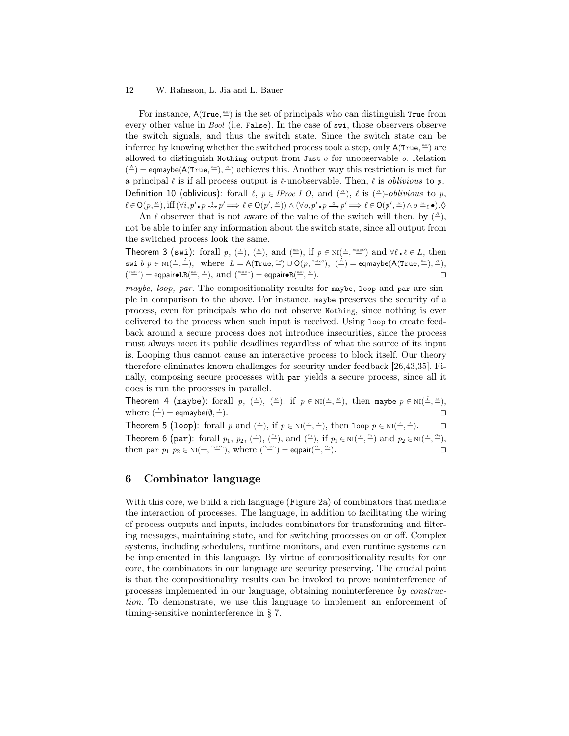For instance,  $A(\text{True}, \triangleq)$  is the set of principals who can distinguish True from every other value in *Bool* (i.e. False). In the case of swi, those observers observe the switch signals, and thus the switch state. Since the switch state can be inferred by knowing whether the switched process took a step, only  $\mathsf{A}(\mathsf{True}, \stackrel{\text{\tiny\textsf{new}}}{=})$  are allowed to distinguish Nothing output from Just  $o$  for unobservable  $o$ . Relation  $(\frac{\Delta}{\epsilon})$  = eqmaybe(A(True,  $\frac{\Delta \Delta}{\epsilon}$ ),  $\frac{\Delta}{\epsilon}$ ) achieves this. Another way this restriction is met for a principal  $\ell$  is if all process output is  $\ell$ -unobservable. Then,  $\ell$  is *oblivious* to p. Definition 10 (oblivious): forall  $\ell, p \in \text{IProc } I \text{ } O$ , and  $(\triangleq), \ell$  is  $(\triangleq)$ -oblivious to p,  $\ell \in \mathsf{O}(p, \stackrel{\circ}{=}), \text{iff}~(\forall i, p' \centerdot p \stackrel{i}{\leadsto} p' \Longrightarrow \ell \in \mathsf{O}(p', \stackrel{\circ}{=})) \land (\forall o, p' \centerdot p \stackrel{o}{\leadsto} p' \Longrightarrow \ell \in \mathsf{O}(p', \stackrel{\circ}{=}) \land o \stackrel{\circ}{=}_{\ell} \bullet) . \lozenge$ 

An  $\ell$  observer that is not aware of the value of the switch will then, by  $(\frac{\delta}{r})$ , not be able to infer any information about the switch state, since all output from the switched process look the same.

Theorem 3 (swi): forall  $p, (\leq), (\leq)$ , and  $(\triangleq)$ , if  $p \in \text{NI}(\leq, \triangleq)$  and  $\forall \ell, \ell \in L$ , then swi b  $p \in \text{NI}(\frac{1}{n}, \frac{1}{n})$ , where  $L = \text{A}(\text{True}, \frac{2n}{n}) \cup \text{O}(p, \frac{2n(n+1)}{n})$ ,  $(\frac{1}{n}) = \text{eqmapbe}(\text{A}(\text{True}, \frac{2n}{n}) = \text{eqmapbe}(\text{A}(\text{True}, \frac{2n}{n}) = \text{eqmapbe}(\text{A}(\text{True}, \frac{2n}{n}) = \text{eqmapbe}(\text{A}(\text{True}, \frac{2n}{n}) = \text{eqmapbe}(\text{A}(\text{True}, \frac{2n}{n})$  $\binom{\textit{Bool} \times I}{\equiv} = \textsf{eqpair} \bullet \textsf{LR}(\stackrel{\textit{Bool}}{=} , \stackrel{I}{=} ), \text{ and } \binom{\textit{Bool} \times O}{\equiv} = \textsf{eqpair} \bullet \textsf{R}(\stackrel{\textit{Bool}}{=} ,$  $\triangleq$ ).

maybe, loop, par. The compositionality results for maybe, loop and par are simple in comparison to the above. For instance, maybe preserves the security of a process, even for principals who do not observe Nothing, since nothing is ever delivered to the process when such input is received. Using loop to create feedback around a secure process does not introduce insecurities, since the process must always meet its public deadlines regardless of what the source of its input is. Looping thus cannot cause an interactive process to block itself. Our theory therefore eliminates known challenges for security under feedback [26,43,35]. Finally, composing secure processes with par yields a secure process, since all it does is run the processes in parallel.

Theorem 4 (maybe): forall  $p, (\doteq), (\doteq),$  if  $p \in \text{NI}(\doteq, \doteq),$  then maybe  $p \in \text{NI}(\doteq, \doteq),$ where  $(\frac{i}{r}) =$  eqmaybe( $\emptyset$ ,  $\equiv$ ).

Theorem 5 (loop): forall p and  $(\doteq)$ , if  $p \in \text{NI}(\doteq, \doteq)$ , then loop  $p \in \text{NI}(\doteq, \doteq)$ . Theorem 6 (par): forall  $p_1, p_2, (\triangleq), (\triangleq),$  and  $(\triangleq),$  if  $p_1 \in \text{NI}(\triangleq, \triangleq)$  and  $p_2 \in \text{NI}(\triangleq, \triangleq),$ then par  $p_1$   $p_2 \in \text{NI}(\frac{1}{n}, \frac{o_1 \times o_2}{n})$ , where  $\binom{o_1 \times o_2}{n} = \text{eqpair}(\frac{o_1}{n}, \frac{o_2}{n})$ .

# 6 Combinator language

With this core, we build a rich language (Figure 2a) of combinators that mediate the interaction of processes. The language, in addition to facilitating the wiring of process outputs and inputs, includes combinators for transforming and filtering messages, maintaining state, and for switching processes on or off. Complex systems, including schedulers, runtime monitors, and even runtime systems can be implemented in this language. By virtue of compositionality results for our core, the combinators in our language are security preserving. The crucial point is that the compositionality results can be invoked to prove noninterference of processes implemented in our language, obtaining noninterference by construction. To demonstrate, we use this language to implement an enforcement of timing-sensitive noninterference in § 7.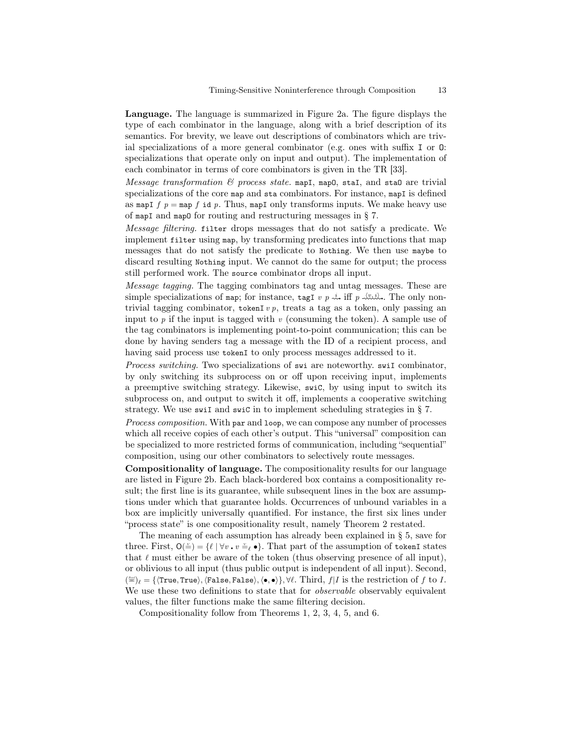Language. The language is summarized in Figure 2a. The figure displays the type of each combinator in the language, along with a brief description of its semantics. For brevity, we leave out descriptions of combinators which are trivial specializations of a more general combinator (e.g. ones with suffix I or O: specializations that operate only on input and output). The implementation of each combinator in terms of core combinators is given in the TR [33].

Message transformation  $\mathcal B$  process state. mapI, mapO, staI, and staO are trivial specializations of the core map and sta combinators. For instance, mapI is defined as mapI  $f$   $p =$  map  $f$  id  $p$ . Thus, mapI only transforms inputs. We make heavy use of mapI and mapO for routing and restructuring messages in § 7.

Message filtering. filter drops messages that do not satisfy a predicate. We implement filter using map, by transforming predicates into functions that map messages that do not satisfy the predicate to Nothing. We then use maybe to discard resulting Nothing input. We cannot do the same for output; the process still performed work. The source combinator drops all input.

Message tagging. The tagging combinators tag and untag messages. These are simple specializations of map; for instance, tagI v p  $\stackrel{i}{\rightsquigarrow}$  iff p  $\stackrel{\langle v,i\rangle}{\rightsquigarrow}$ . The only nontrivial tagging combinator, tokenI v  $p$ , treats a tag as a token, only passing an input to  $p$  if the input is tagged with  $v$  (consuming the token). A sample use of the tag combinators is implementing point-to-point communication; this can be done by having senders tag a message with the ID of a recipient process, and having said process use tokenI to only process messages addressed to it.

Process switching. Two specializations of swi are noteworthy, swiI combinator, by only switching its subprocess on or off upon receiving input, implements a preemptive switching strategy. Likewise, swiC, by using input to switch its subprocess on, and output to switch it off, implements a cooperative switching strategy. We use swiI and swiC in to implement scheduling strategies in § 7.

Process composition. With par and loop, we can compose any number of processes which all receive copies of each other's output. This "universal" composition can be specialized to more restricted forms of communication, including "sequential" composition, using our other combinators to selectively route messages.

Compositionality of language. The compositionality results for our language are listed in Figure 2b. Each black-bordered box contains a compositionality result; the first line is its guarantee, while subsequent lines in the box are assumptions under which that guarantee holds. Occurrences of unbound variables in a box are implicitly universally quantified. For instance, the first six lines under "process state" is one compositionality result, namely Theorem 2 restated.

The meaning of each assumption has already been explained in § 5, save for three. First,  $O(\frac{\nu}{\epsilon}) = {\ell | \forall v \cdot v \stackrel{\nu}{=} \epsilon \bullet}.$  That part of the assumption of tokenI states that  $\ell$  must either be aware of the token (thus observing presence of all input), or oblivious to all input (thus public output is independent of all input). Second,  $(\frac{\cos\theta}{2})_\ell = \{\langle \text{True}, \text{True}\rangle, \langle \text{False}, \text{False}\rangle, \langle \bullet, \bullet \rangle\}, \forall \ell. \text{ Third}, f|I \text{ is the restriction of } f \text{ to } I.$ We use these two definitions to state that for *observable* observably equivalent values, the filter functions make the same filtering decision.

Compositionality follow from Theorems 1, 2, 3, 4, 5, and 6.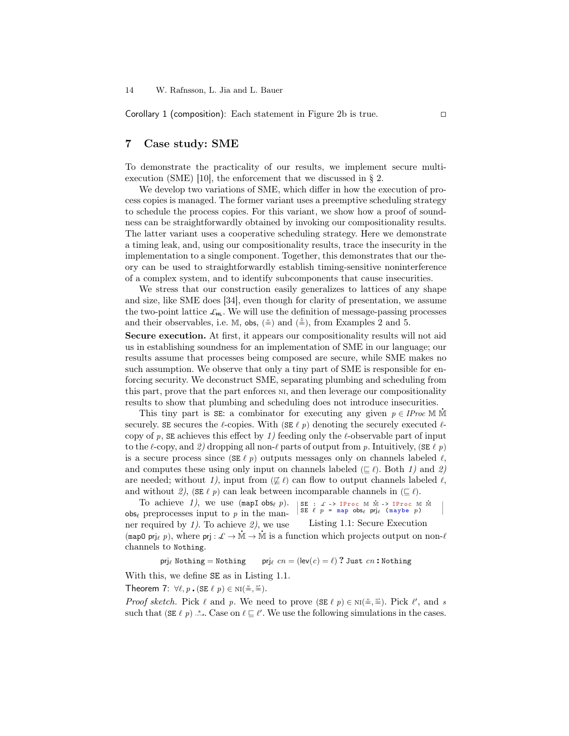Corollary 1 (composition): Each statement in Figure 2b is true. ◻

### 7 Case study: SME

To demonstrate the practicality of our results, we implement secure multiexecution (SME) [10], the enforcement that we discussed in § 2.

We develop two variations of SME, which differ in how the execution of process copies is managed. The former variant uses a preemptive scheduling strategy to schedule the process copies. For this variant, we show how a proof of soundness can be straightforwardly obtained by invoking our compositionality results. The latter variant uses a cooperative scheduling strategy. Here we demonstrate a timing leak, and, using our compositionality results, trace the insecurity in the implementation to a single component. Together, this demonstrates that our theory can be used to straightforwardly establish timing-sensitive noninterference of a complex system, and to identify subcomponents that cause insecurities.

We stress that our construction easily generalizes to lattices of any shape and size, like SME does [34], even though for clarity of presentation, we assume the two-point lattice  $\mathcal{L}_{HL}$ . We will use the definition of message-passing processes and their observables, i.e. M, obs,  $(\frac{*}{n})$  and  $(\frac{*}{n})$ , from Examples 2 and 5.

Secure execution. At first, it appears our compositionality results will not aid us in establishing soundness for an implementation of SME in our language; our results assume that processes being composed are secure, while SME makes no such assumption. We observe that only a tiny part of SME is responsible for enforcing security. We deconstruct SME, separating plumbing and scheduling from this part, prove that the part enforces ni, and then leverage our compositionality results to show that plumbing and scheduling does not introduce insecurities.

This tiny part is SE: a combinator for executing any given  $p \in \text{Proc } M \text{ M}$ securely. SE secures the  $\ell$ -copies. With (SE  $\ell$   $p)$  denoting the securely executed  $\ell$ copy of p,  $SE$  achieves this effect by 1) feeding only the  $\ell$ -observable part of input to the  $\ell$ -copy, and 2) dropping all non- $\ell$  parts of output from p. Intuitively, (SE  $\ell$  p) is a secure process since (SE  $\ell$  p) outputs messages only on channels labeled  $\ell$ , and computes these using only input on channels labeled ( $\subseteq \ell$ ). Both 1) and 2) are needed; without 1), input from ( $\not\subseteq \ell$ ) can flow to output channels labeled  $\ell$ , and without 2), (SE  $\ell$  p) can leak between incomparable channels in ( $\subseteq \ell$ ).

SE :  $\mathcal{L} \rightarrow \text{IProc M M} \rightarrow \text{IProc M} \text{SE } \ell \quad p = \text{map } \text{obs}_{\ell} \text{ pri}_{\ell} \text{ (maybe } p)$ .M Listing 1.1: Secure Execution To achieve 1), we use  $(\text{mapI} \text{ obs}_{\ell} p)$ .  $\cos \theta$  preprocesses input to p in the manner required by  $1$ . To achieve  $2$ , we use The required by 1). To achieve  $\lambda$ , we use the linear 1.1. Secure Execution monomentum map  $\limsup_{\ell \to \infty} p$ , where  $p_j : \mathcal{L} \to \mathbb{M} \to \mathbb{M}$  is a function which projects output on non- $\ell$ channels to Nothing.

prje Nothing = Nothing prje  $cn = (\text{lev}(c) = \ell)$ ? Just  $cn$ : Nothing

With this, we define SE as in Listing 1.1.

Theorem 7:  $\forall \ell, p$ .  $(\texttt{SE } \ell p) \in \text{NI}(\frac{M}{n}, \frac{M}{n})$ .

*Proof sketch.* Pick  $\ell$  and p. We need to prove  $(\mathsf{SE} \ell p) \in \text{NI}(\stackrel{\text{M}}{\Rightarrow}, \stackrel{\text{M}}{\Rightarrow})$ . Pick  $\ell'$ , and s such that (SE  $\ell$  p)  $\stackrel{s}{\longrightarrow}$ . Case on  $\ell \subseteq \ell'$ . We use the following simulations in the cases.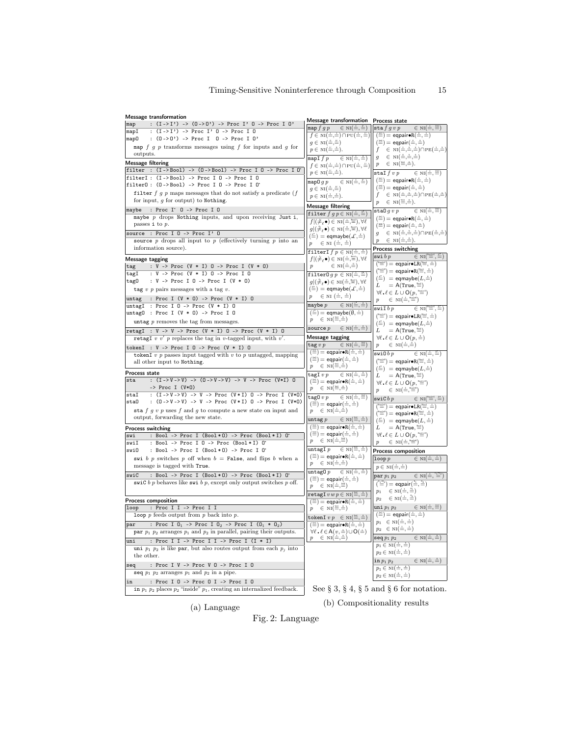| <b>Message transformation</b>                                                                                                               | <b>Message transformation</b>                                                                                                                                                                                                  |                                                                                                                                                                                                                                                                                                                  |
|---------------------------------------------------------------------------------------------------------------------------------------------|--------------------------------------------------------------------------------------------------------------------------------------------------------------------------------------------------------------------------------|------------------------------------------------------------------------------------------------------------------------------------------------------------------------------------------------------------------------------------------------------------------------------------------------------------------|
| : $(I \rightarrow I')$ -> $(0 \rightarrow 0')$ -> Proc I' 0 -> Proc I 0'<br>map                                                             | $\in NI(\dot{=},\ddot{=})$<br>map $f \, g \, p$                                                                                                                                                                                | Process state<br>$\in$ NI $(\dot{=}, \ddot{=})$<br>$\verb sta  f g v p$                                                                                                                                                                                                                                          |
| : (I->I') -> Proc I' 0 -> Proc I 0<br>mapI                                                                                                  | $f \in NI(\frac{1}{m}, \frac{1}{m}) \cap PU(\frac{1}{m}, \frac{1}{m})$                                                                                                                                                         | $(\stackrel{\text{w}}{=} ) =$ eqpair $\bullet R(\stackrel{\text{v}}{=} , \stackrel{\text{v}}{=} )$                                                                                                                                                                                                               |
| : $(0 -> 0') ->$ Proc I 0 -> Proc I 0'<br>map0                                                                                              | $q \in NI(\triangleq, \triangleq)$                                                                                                                                                                                             | $(\stackrel{\scriptscriptstyle{\text{rec}}}{=})=$ eqpair $(\stackrel{\scriptscriptstyle{\text{v}}}{=},\stackrel{\scriptscriptstyle{\text{v}}}{=})$                                                                                                                                                               |
| map $f$ $g$ $p$ transforms messages using $f$ for inputs and $g$ for                                                                        | $p \in NI(\stackrel{\cdots}{\equiv},\stackrel{\circ}{\equiv}).$                                                                                                                                                                | $f \in NI(\dot{=},\dot{=},\dot{=}) \cap PE(\dot{=},\dot{=})$                                                                                                                                                                                                                                                     |
| outputs.                                                                                                                                    | mapIfp<br>$\in$ NI $(\stackrel{\scriptscriptstyle \perp}{=},\stackrel{\scriptscriptstyle \perp}{=})$                                                                                                                           | $g \in NI(\stackrel{\circ}{=},\stackrel{\cdot}{=},\stackrel{\cdot}{=})$                                                                                                                                                                                                                                          |
| Message filtering                                                                                                                           | $f \in NI(\frac{1}{\overline{m}}, \frac{1}{\overline{m}}) \cap PU(\frac{1}{\overline{m}}, \frac{1}{\overline{m}})$                                                                                                             | $p \in NI(\stackrel{\cdots}{\equiv},\stackrel{\circ}{\equiv}).$                                                                                                                                                                                                                                                  |
| filter : $(I -> Boo1) -> (0 -> Boo1) -> Proc I 0 -> Proc I 0'$<br>filterI : (I->Bool) -> Proc I 0 -> Proc I 0                               | $p \in NI(\equiv, \equiv).$                                                                                                                                                                                                    | $\texttt{stal}~f~v~p$<br>$\in$ NI $(\dot{=}$ , $\ddot{=}$ )                                                                                                                                                                                                                                                      |
| filter0: $(0 -> Boo1) -> Proc I 0 -> Proc I 0'$                                                                                             | map0g<br>$\in$ NI $(\frac{1}{n}, \frac{1}{n})$                                                                                                                                                                                 | $(\stackrel{\scriptscriptstyle{\text{ref}}}{=})=$ eqpair $\bullet R(\stackrel{\scriptscriptstyle{\text{v}}}{=},\stackrel{\scriptscriptstyle{\text{v}}}{=})$                                                                                                                                                      |
| filter $f g p$ maps messages that do not satisfy a predicate $(f$                                                                           | $q \in NI(\triangleq, \triangleq)$                                                                                                                                                                                             | $(\stackrel{\scriptscriptstyle{\text{rec}}}{=})=$ eqpair $(\stackrel{\scriptscriptstyle{\text{v}}}{=},\stackrel{\scriptscriptstyle{\text{v}}}{=})$                                                                                                                                                               |
| for input, $g$ for output) to Nothing.                                                                                                      | $p \in NI(\frac{1}{m}, \frac{1}{m}).$                                                                                                                                                                                          | $f \in NI(\dot{=},\dot{=},\dot{=}) \cap PE(\dot{=},\dot{=})$<br>$p \in NI(\stackrel{\text{rel}}{=},\stackrel{\text{o}}{=}).$                                                                                                                                                                                     |
| : Proc I <sup>.</sup> 0 -> Proc I 0<br>maybe                                                                                                | <b>Message filtering</b>                                                                                                                                                                                                       |                                                                                                                                                                                                                                                                                                                  |
| maybe $p$ drops Nothing inputs, and upon receiving Just i,                                                                                  | filter $f g p \in NI(\doteq, \doteq)$                                                                                                                                                                                          | $\in NI(\dot{=},\dddot{=})$<br>$\verb stab  g v p $                                                                                                                                                                                                                                                              |
| passes i to $p$ .                                                                                                                           | $f (\neq_\ell \bullet) \in \text{NI}(\stackrel{\cdot}{\leftarrow}, \stackrel{\text{local}}{\leftarrow}), \forall \ell$                                                                                                         | $(\stackrel{\scriptscriptstyle{\text{ref}}}{=})=$ eqpair•R $(\stackrel{\scriptscriptstyle{\text{def}}}{=} ,\stackrel{\scriptscriptstyle{\text{def}}}{=} )$<br>$(\stackrel{\scriptscriptstyle{\text{res}}}{=})=$ eqpair $(\stackrel{\scriptscriptstyle{\text{v}}}{=},\stackrel{\scriptscriptstyle{\text{v}}}{=})$ |
| source : Proc I 0 -> Proc I' 0                                                                                                              | $g((\frac{\omega}{\epsilon}, \bullet) \in \text{NI}(\frac{\omega}{\epsilon}, \frac{\omega}{\epsilon})$ , $\forall \ell$                                                                                                        | $g \in NI(\stackrel{\circ}{=},\stackrel{\circ}{=},\stackrel{\circ}{=}) \cap PE(\stackrel{\circ}{=},\stackrel{\circ}{=})$                                                                                                                                                                                         |
| source $p$ drops all input to $p$ (effectively turning $p$ into an                                                                          | $(\triangleq) =$ eqmaybe $(\mathcal{L}, \triangleq)$<br>$p \in \text{NI}(\dot{=}, \dot{=})$                                                                                                                                    | $p \in NI(\dot{=},\dot{=}).$                                                                                                                                                                                                                                                                                     |
| information source).                                                                                                                        |                                                                                                                                                                                                                                | Process switching                                                                                                                                                                                                                                                                                                |
| Message tagging                                                                                                                             | filterI $f p \in NI(\frac{1}{m}, \frac{1}{m})$<br>$f (\neq_\ell \bullet) \in \text{NI}(\stackrel{\text{\tiny{i}}}{=},\stackrel{\text{\tiny{Bool}}}{=}), \forall \ell$                                                          | $\in NI(\stackrel{\text{Bool}^*}{\equiv}, \stackrel{\circ}{\equiv})$<br>swi b p                                                                                                                                                                                                                                  |
| : $V \rightarrow \text{Proc} (V * I) 0 \rightarrow \text{Proc} I (V * 0)$<br>tag                                                            | $\in$ NI $(\dot{=}, \dot{=})$<br>$\boldsymbol{p}$                                                                                                                                                                              | $\binom{\text{bad-}r}{m}$ = eqpair $\bullet$ LR $\left(\stackrel{\text{bad}}{m}, \stackrel{\text{d}}{m}\right)$                                                                                                                                                                                                  |
| : V -> Proc (V * I) 0 -> Proc I 0<br>tagI                                                                                                   | filter $0 q p \in NI(\frac{1}{n}, \frac{p}{n})$                                                                                                                                                                                | $\binom{\text{host} \cdot \text{co}}{m} = \text{eqpair} \cdot \text{R}(\equiv, \stackrel{\text{const}}{m}, \stackrel{\text{const}}{m})$                                                                                                                                                                          |
| : $V \rightarrow \text{Proc I } 0 \rightarrow \text{Proc I } (V * 0)$<br>tag 0                                                              | $g((\frac{\omega}{\epsilon},\bullet) \in \text{NI}(\frac{\omega}{\epsilon},\equiv), \forall \ell$                                                                                                                              | $(\triangleq)$ = eqmaybe $(L, \triangleq)$                                                                                                                                                                                                                                                                       |
| tag $v$ p pairs messages with a tag $v$ .                                                                                                   | $(\stackrel{\circ}{=})$ = eqmaybe $(\mathcal{L},\stackrel{\circ}{=})$                                                                                                                                                          | $L = A(\text{True}, \stackrel{\text{local}}{=})$                                                                                                                                                                                                                                                                 |
| : Proc I $(V * 0)$ -> Proc $(V * I) 0$<br>untag                                                                                             | $p \in \text{NI}(\dot{=}, \dot{=})$                                                                                                                                                                                            | $\forall \ell \ldotp \ell \in L \cup \mathsf{O}(p, \text{``#''})$<br>$p \in \text{NI}(\dot{=}^{\text{test}})$                                                                                                                                                                                                    |
| untagI : Proc I 0 -> Proc $(V * I)$ 0                                                                                                       | maybe $p$<br>$\in$ NI $(\equiv, \stackrel{\circ}{=})$                                                                                                                                                                          |                                                                                                                                                                                                                                                                                                                  |
| untag0 : Proc I $(V * 0)$ -> Proc I 0                                                                                                       | $(\stackrel{}{=} ) =$ eqmaybe $(\emptyset, \stackrel{.}{=} )$                                                                                                                                                                  | swiI $b$ $p$<br>$\in$ NI $(\stackrel{\text{local}^{\ast}}{=}, \stackrel{\text{all}}{=})$                                                                                                                                                                                                                         |
| untag $p$ removes the tag from messages.                                                                                                    | $p \in NI(\equiv, \stackrel{\scriptscriptstyle\cdots}{=}, \stackrel{\scriptscriptstyle\cdots}{=})$                                                                                                                             | $(\stackrel{\text{\tiny\textsf{local}}\text{\tiny\textsf{m}}}{=}) = \mathsf{eqpair} \bullet \mathtt{LR} (\stackrel{\text{\tiny\textsf{local}}}{=},\stackrel{\text{\tiny\textsf{m}}}{=})$<br>$(\stackrel{\circ}{=})$ = eqmaybe $(L,\stackrel{\circ}{=})$                                                          |
| retagI : $V \rightarrow V \rightarrow Proc$ ( $V * I$ ) 0 -> Proc ( $V * I$ ) 0                                                             | source $p$<br>$\in$ NI $(\dot{=}, \dot{=})$                                                                                                                                                                                    | $L = A(\text{True}, \stackrel{\text{local}}{=})$                                                                                                                                                                                                                                                                 |
| retagI v $v'$ p replaces the tag in v-tagged input, with $v'$ .                                                                             | Message tagging                                                                                                                                                                                                                | $\forall \ell \ldotp \ell \in L \cup \mathsf{O}(p, \stackrel{\circ}{=})$                                                                                                                                                                                                                                         |
| tokenI : $V \rightarrow Proc I 0 \rightarrow Proc (V * I) 0$                                                                                | $\in$ NI $(\stackrel{\text{\tiny{\text{I}}}}{=} , \stackrel{\text{\tiny{\text{res}}}}{=} )$<br>$\texttt{tag} v p$                                                                                                              | $p \in NI(\dot{=},\dot{=})$                                                                                                                                                                                                                                                                                      |
| tokenI $v$ $p$ passes input tagged with $v$ to $p$ untagged, mapping                                                                        | $(\stackrel{\text{m}}{=} ) =$ eqpair•R $(\stackrel{\text{v}}{=} , \stackrel{\text{v}}{=} )$                                                                                                                                    | swi $0\,b\,p$<br>$\in$ NI $(\stackrel{\cdot}{=},\stackrel{\cdot}{=})$                                                                                                                                                                                                                                            |
| all other input to Nothing.                                                                                                                 | $(\stackrel{\scriptscriptstyle\text{res}}{=})=$ eqpair $(\stackrel{\scriptscriptstyle\text{v}}{=},\stackrel{\scriptscriptstyle\text{v}}{=})$                                                                                   | $\binom{\text{local} * 0}{m}$ = eqpair•R $\left(\frac{\text{local}}{m}, \frac{0}{m}\right)$                                                                                                                                                                                                                      |
|                                                                                                                                             | $p \in NI(\stackrel{w_1}{\equiv},\stackrel{o}{\equiv})$                                                                                                                                                                        | $(\triangleq)$ = eqmaybe $(L,\triangleq)$                                                                                                                                                                                                                                                                        |
| Process state<br>: $(I \rightarrow V \rightarrow V)$ -> $(0 \rightarrow V \rightarrow V)$ -> $V \rightarrow Prac(V \rightarrow I)$ 0<br>sta | $\tt tagI$ $v$ $p$<br>$\in$ NI $(\dot{=}, \dot{=})$                                                                                                                                                                            | $L = A(\text{True}, \equiv)$                                                                                                                                                                                                                                                                                     |
| $\rightarrow$ Proc I (V*0)                                                                                                                  | $(\stackrel{\scriptscriptstyle\text{N1}}{=})=$ eqpair $\bullet R(\stackrel{\scriptscriptstyle\text{N}}{=} ,\stackrel{\scriptscriptstyle\text{N}}{=} )$<br>$p \in \text{NI}(\equiv, \stackrel{\circ}{=}, \stackrel{\circ}{=})$  | $\forall \ell, \ell \in L \cup \mathsf{O}(p, \text{``} \equiv \text{''})$                                                                                                                                                                                                                                        |
| : $(I \rightarrow V \rightarrow V) \rightarrow V \rightarrow Proc$ $(V * I) 0 \rightarrow Proc I (V * 0)$<br>staI                           |                                                                                                                                                                                                                                | $p \in \text{NI}(\dot{=}, \dot{=})$                                                                                                                                                                                                                                                                              |
| : (0->V->V) -> V -> Proc (V*I) 0 -> Proc I (V*O)<br>staO                                                                                    | $\texttt{tag0} \, v \, p$<br>$\in$ NI $(\frac{1}{m}, \frac{1}{m})$<br>$(\stackrel{\scriptscriptstyle\text{res}}{=})=$ eqpair $(\stackrel{\scriptscriptstyle\text{res}}{=},\stackrel{\scriptscriptstyle\text{res}}{=})$         | $\verb+swic+ b+p$<br>$\in NI(\stackrel{\text{Bool}^*}{\equiv}, \stackrel{\circ}{\equiv})$                                                                                                                                                                                                                        |
| sta $f g v p$ uses $f$ and $g$ to compute a new state on input and                                                                          | $p \in \text{NI}(\dot{=}, \dot{=})$                                                                                                                                                                                            | $(\stackrel{\text{\tiny\textsf{local}}\cdot}{=}) = \text{\sf{eqpair}} \bullet \text{\sf LR} (\stackrel{\text{\tiny\textsf{local}}}{=}, \stackrel{\text{\tiny\textsf{i}}}{=})$                                                                                                                                    |
| output, forwarding the new state.                                                                                                           | $\text{untag } p \in \text{NI}(\equiv, \equiv)$                                                                                                                                                                                | $\binom{\text{float-of}}{m}$ = eqpair•R $\left(\stackrel{\text{local}}{m},\stackrel{\text{d}}{m}\right)$<br>$(\stackrel{\circ}{=})$ = eqmaybe $(L, \stackrel{\circ}{=})$                                                                                                                                         |
| Process switching                                                                                                                           | $(\stackrel{\scriptscriptstyle\text{rel}}{=})=$ eqpair $\bullet R(\stackrel{\scriptscriptstyle\text{v}}{=} ,\stackrel{\scriptscriptstyle\text{u}}{=} )$                                                                        | $L = A(\text{True}, \stackrel{\text{\tiny{local}}}{=})$                                                                                                                                                                                                                                                          |
| : Bool -> Proc I (Bool*0) -> Proc (Bool*I) 0'<br>swi                                                                                        | $(\stackrel{\scriptscriptstyle\text{res}}{=})=$ eqpair $(\stackrel{\scriptscriptstyle\text{v}}{=},\stackrel{\scriptscriptstyle\text{v}}{=})$                                                                                   | $\forall \ell, \ell \in L \cup \mathsf{O}(p, \stackrel{\text{\tiny\textsf{local}}}{=} )$                                                                                                                                                                                                                         |
| : Bool -> Proc I 0 -> Proc (Bool*I) 0*<br>swiI                                                                                              | $p \in \text{NI}(\dot{=}, \dot{=})$                                                                                                                                                                                            | $\in$ NI $(\dot{=}$ , $\stackrel{1}{=}\cdots$<br>$\boldsymbol{p}$                                                                                                                                                                                                                                                |
| : Bool -> Proc I (Bool*0) -> Proc I 0*<br>swiO                                                                                              | $\in NI(\stackrel{\text{rel}}{=},\stackrel{\text{rel}}{=})$<br>${\tt untagI}~p$                                                                                                                                                | <b>Process composition</b>                                                                                                                                                                                                                                                                                       |
| swi b p switches p off when $b =$ False, and flips b when a                                                                                 | $(\stackrel{\text{w1}}{=} )$ = eqpair•R $(\stackrel{\text{w1}}{=} , \stackrel{\text{w2}}{=} )$                                                                                                                                 | $\in NI(\dot{=},\dot{=})$<br>$\hbox{loop}\, p$                                                                                                                                                                                                                                                                   |
| message is tagged with True.                                                                                                                | $p \in NI(\dot{=},\dot{=})$                                                                                                                                                                                                    | $p \in NI(\dot{=},\dot{=})$                                                                                                                                                                                                                                                                                      |
| : Bool -> Proc I (Bool*0) -> Proc (Bool*I) 0<br>swiC                                                                                        | untag0 p<br>$\in$ NI $(\stackrel{\text{r}}{=},\stackrel{\text{u}}{=})$                                                                                                                                                         | $\mathop{\mathrm{par}} p_1\ p_2$<br>$\in$ NI $(\stackrel{\cdot}{=}, \stackrel{\circ_1 \cdot \circ_2}{=})$                                                                                                                                                                                                        |
| swiC b p behaves like swi b p, except only output switches p off.                                                                           | $(\stackrel{\scriptscriptstyle\text{res}}{=})=$ eqpair $(\stackrel{\scriptscriptstyle\text{v}}{=},\stackrel{\scriptscriptstyle\text{v}}{=})$<br>$p \in \text{NI}(\equiv, \equiv)$                                              | $\binom{a_1 a_2}{m}$ = eqpair $\left(\frac{a_1}{m}, \frac{a_2}{m}\right)$                                                                                                                                                                                                                                        |
|                                                                                                                                             |                                                                                                                                                                                                                                | $p_1 \in NI(\frac{1}{\overline{a}}, \frac{a_1}{\overline{a}})$                                                                                                                                                                                                                                                   |
| Process composition                                                                                                                         | $\texttt{retagI} \, v \, w \, p \in \textsc{ni}(\stackrel{\text{\tiny\textsf{ref}}}{=},\stackrel{\text{\tiny\textsf{def}}}{=})$<br>$(\stackrel{\text{w}}{=} ) =$ eqpair•R $(\stackrel{\text{v}}{=} , \stackrel{\text{v}}{=} )$ | $p_2 \in \text{NI}(\dot{=}, \dot{=})$                                                                                                                                                                                                                                                                            |
| : Proc I I -> Proc I I<br>loop                                                                                                              | $\in$ NI $(\equiv, \stackrel{\circ}{=}, \stackrel{\circ}{=})$<br>$\boldsymbol{p}$                                                                                                                                              | $\in NI(\dot{=},\ddot{=})$<br>uni $p_1\ p_2$                                                                                                                                                                                                                                                                     |
| loop $p$ feeds output from $p$ back into $p$ .                                                                                              | tokenI $v p \in NI(\stackrel{\text{ref}}{=} , \stackrel{\text{def}}{=} )$                                                                                                                                                      | $(\stackrel{\text{in}}{=} ) =$ eqpair $(\stackrel{\text{in}}{=} , \stackrel{\text{in}}{=} )$                                                                                                                                                                                                                     |
| : Proc I $0_1$ -> Proc I $0_2$ -> Proc I $(0_1 * 0_2)$<br>par                                                                               | $(\stackrel{\text{w1}}{=} ) =$ eqpair $\bullet R(\stackrel{\text{v}}{=}, \stackrel{\text{v}}{=} )$                                                                                                                             | $p_1~\in$ $\mathrm{NI}(\dot{=},\dot{=})$                                                                                                                                                                                                                                                                         |
| par $p_1$ $p_2$ arranges $p_1$ and $p_2$ in parallel, pairing their outputs.                                                                | $\forall \ell \cdot \ell \in A(v, \dot{=} ) \cup O(\dot{=} )$                                                                                                                                                                  | $p_2 \in \text{NI}(\frac{1}{n}, \frac{1}{n})$                                                                                                                                                                                                                                                                    |
| : Proc I I -> Proc I I -> Proc I (I * I)<br>uni                                                                                             | $p \in \text{NI}(\equiv, \stackrel{\cdot}{=})$                                                                                                                                                                                 | $\mathop{\mathtt{seq}} p_1\ p_2$<br>$\in$ NI $(\stackrel{\cdot}{=},\stackrel{\circ}{=})$                                                                                                                                                                                                                         |
| uni $p_1$ $p_2$ is like par, but also routes output from each $p_i$ into                                                                    |                                                                                                                                                                                                                                | $p_1 \in NI(\frac{1}{n}, \frac{1}{n})$                                                                                                                                                                                                                                                                           |
| the other.                                                                                                                                  |                                                                                                                                                                                                                                | $p_2 \in NI(\stackrel{v}{=}, \stackrel{v}{=})$                                                                                                                                                                                                                                                                   |
| : Proc I V -> Proc V O -> Proc I O<br>seq                                                                                                   |                                                                                                                                                                                                                                | $\in$ NI $(\stackrel{\cdot}{=},\stackrel{\circ}{=})$<br>in $p_1$ $p_2$                                                                                                                                                                                                                                           |
| seq $p_1$ $p_2$ arranges $p_1$ and $p_2$ in a pipe.                                                                                         |                                                                                                                                                                                                                                | $p_1 \in NI(\dot{=},\dot{=})$                                                                                                                                                                                                                                                                                    |
| : Proc I 0 -> Proc 0 I -> Proc I 0<br>in                                                                                                    |                                                                                                                                                                                                                                | $p_2 \in NI(\stackrel{\circ}{=},\stackrel{\tau}{=})$                                                                                                                                                                                                                                                             |
| in $p_1$ $p_2$ places $p_2$ "inside" $p_1$ , creating an internalized feedback.                                                             |                                                                                                                                                                                                                                | See § 3, § 4, § 5 and § 6 for notation.                                                                                                                                                                                                                                                                          |
|                                                                                                                                             |                                                                                                                                                                                                                                |                                                                                                                                                                                                                                                                                                                  |

(a) Language

(b) Compositionality results

Fig. 2: Language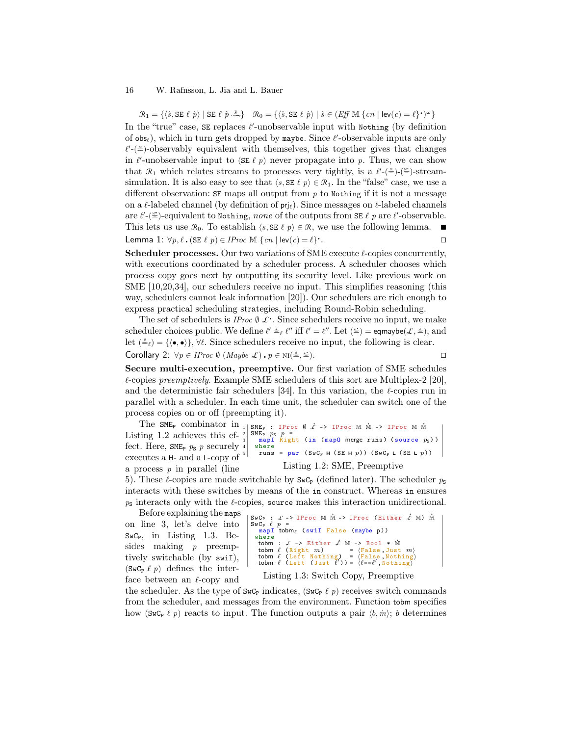$\mathcal{R}_1 = \{ \langle \hat{s}, \texttt{SE} \ \ell \ \hat{p} \rangle \mid \texttt{SE} \ \ell \ \hat{p} \stackrel{\hat{s}}{\longrightarrow} \} \quad \mathcal{R}_0 = \{ \langle \hat{s}, \texttt{SE} \ \ell \ \hat{p} \rangle \mid \hat{s} \in (Eff \ \mathbb{M} \ \{cn \mid \texttt{lev}(c) = \ell\}^{\scriptscriptstyle\bullet}\})^{\omega} \}$ In the "true" case,  $SE$  replaces  $\ell'$ -unobservable input with Nothing (by definition of  $obs_{\ell}$ ), which in turn gets dropped by maybe. Since  $\ell'$ -observable inputs are only  $\ell'$ -( $\stackrel{*}{\equiv}$ )-observably equivalent with themselves, this together gives that changes in  $\ell'$ -unobservable input to (SE  $\ell$  p) never propagate into p. Thus, we can show that  $\mathcal{R}_1$  which relates streams to processes very tightly, is a  $\ell'$ - $(\stackrel{\text{w}}{=})$ -streamsimulation. It is also easy to see that  $\langle s, SE \ell \, p \rangle \in \mathcal{R}_1$ . In the "false" case, we use a different observation:  $SE$  maps all output from  $p$  to Nothing if it is not a message on a  $\ell$ -labeled channel (by definition of  $\text{prj}_{\ell}$ ). Since messages on  $\ell$ -labeled channels are  $\ell'$ -( $\equiv$ )-equivalent to Nothing, none of the outputs from SE  $\ell$  p are  $\ell'$ -observable. This lets us use  $\mathcal{R}_0$ . To establish  $\langle s, SE \ell \, p \rangle \in \mathcal{R}$ , we use the following lemma. ■ Lemma 1:  $\forall p, \ell$ . (SE  $\ell$   $p$ )  $\in$  *IProc* M  $\{cn \mid \text{lev}(c) = \ell\}$ .  $\blacksquare$ 

**Scheduler processes.** Our two variations of SME execute  $\ell$ -copies concurrently, with executions coordinated by a scheduler process. A scheduler chooses which process copy goes next by outputting its security level. Like previous work on SME [10,20,34], our schedulers receive no input. This simplifies reasoning (this way, schedulers cannot leak information [20]). Our schedulers are rich enough to express practical scheduling strategies, including Round-Robin scheduling.

The set of schedulers is  $\overline{IProc} \emptyset \mathcal{L}$ . Since schedulers receive no input, we make scheduler choices public. We define  $\ell' \stackrel{\scriptscriptstyle{\mathsf{d}}}{\scriptscriptstyle{\mathsf{d}}}\ell''$  iff  $\ell' = \ell''$ . Let  $(\stackrel{\scriptscriptstyle{\mathsf{d}}}{\scriptscriptstyle{\mathsf{d}}}) = \mathsf{eqmaybe}(\mathcal{L},\stackrel{\scriptscriptstyle{\mathsf{d}}}{\scriptscriptstyle{\mathsf{d}}})$ , and let  $(\triangleq_{\ell}) = {\langle \langle \bullet, \bullet \rangle \rangle}, \forall \ell$ . Since schedulers receive no input, the following is clear. Corollary 2:  $\forall p \in \text{IProc } \emptyset \text{ (} \text{Maybe } \mathcal{L} \text{)}.$   $p \in \text{NI}(\frac{\emptyset}{n})$  $\equiv$ ).

Secure multi-execution, preemptive. Our first variation of SME schedules  $\ell$ -copies preemptively. Example SME schedulers of this sort are Multiplex-2 [20], and the deterministic fair schedulers [34]. In this variation, the  $\ell$ -copies run in parallel with a scheduler. In each time unit, the scheduler can switch one of the process copies on or off (preempting it).

The SME<sub>P</sub> combinator in Listing 1.2 achieves this effect. Here, SME<sub>P</sub>  $p_S$  p securely executes a H- and a L-copy of a process  $p$  in parallel (line



5). These *l*-copies are made switchable by  $SwC_{P}$  (defined later). The scheduler  $p_{S}$ interacts with these switches by means of the in construct. Whereas in ensures  $p<sub>s</sub>$  interacts only with the  $\ell$ -copies, source makes this interaction unidirectional.

Before explaining the maps on line 3, let's delve into  $SwC_{P}$ , in Listing 1.3. Besides making *p* preemptively switchable (by swiI), (SwC<sub>p</sub>  $\ell$  p) defines the interface between an  $\ell$ -copy and

```
\n
$$
\begin{bmatrix}\nSwC_P : \mathcal{L} \rightarrow \text{IProc M M} \rightarrow \text{IProc (Either } \mathcal{L} M) M \\
SwC_P \ell p = \\
map1 \text{ tobm}_{\ell} \quad (swil False (maybe p))\n\end{bmatrix}
$$
\nwhere\n
$$
\begin{bmatrix}\n\text{where } \\
\text{tobm} \quad \mathcal{L} \rightarrow \text{Either } \mathcal{L} M \rightarrow \text{Bool} * M \\
\text{tobm} \quad \ell \quad (\text{Right } m) = (\text{False, Just } m) \\
\text{tobm} \quad \ell \quad (\text{Left Notbing}) = \{\text{False, Notbing}\} \\
\text{tobm} \quad \ell \quad (\text{Left (Just } \ell') = \{\ell == \ell', \text{Notbing}\} \\
\text{Listing 1.3: Switch Copy, Preemptive}\n\end{bmatrix}
$$
\n
```

the scheduler. As the type of  $\mathsf{SwC}_{\mathsf{P}}$  indicates,  $(\mathsf{SwC}_{\mathsf{P}} \ell_p)$  receives switch commands from the scheduler, and messages from the environment. Function tobm specifies how (SwC<sub>P</sub>  $\ell$  p) reacts to input. The function outputs a pair  $\langle b, \dot{m} \rangle$ ; b determines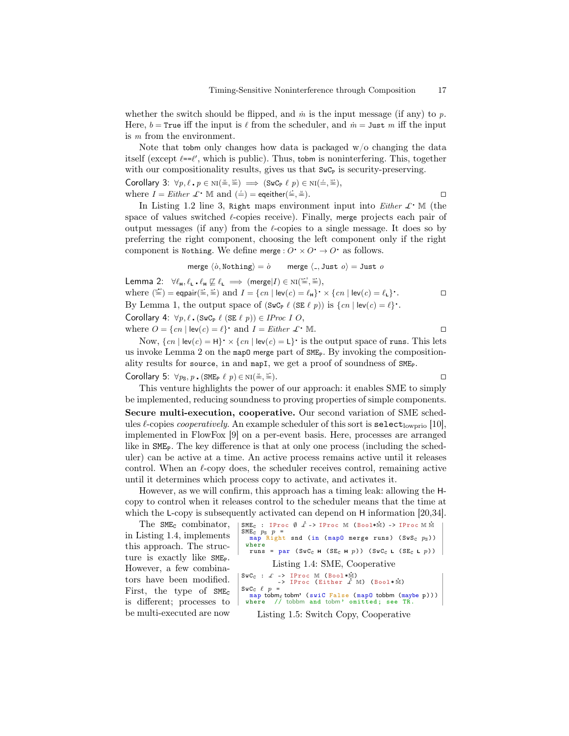whether the switch should be flipped, and  $\dot{m}$  is the input message (if any) to p. Here,  $b = \text{True}$  iff the input is  $\ell$  from the scheduler, and  $\dot{m} = \text{Just } m$  iff the input is m from the environment.

Note that tobm only changes how data is packaged  $w/o$  changing the data itself (except  $\ell = \ell'$ , which is public). Thus, tobm is noninterfering. This, together with our compositionality results, gives us that  $SwC<sub>P</sub>$  is security-preserving.

Corollary 3:  $\forall p, \ell \cdot p \in \text{NI}(\frac{M}{m}, \frac{M^2}{m}) \implies (\text{SwC}_{P} \ell p) \in \text{NI}(\frac{1}{m}, \frac{M^2}{m}),$ where  $I = Either \mathcal{L} \cdot \mathbb{M}$  and  $(\frac{1}{n}) =$  eqeither $(\frac{1}{n})$  $\equiv$ ).

In Listing 1.2 line 3, Right maps environment input into Either  $\mathcal{L}^{\bullet}$ . M (the space of values switched  $\ell$ -copies receive). Finally, merge projects each pair of output messages (if any) from the  $\ell$ -copies to a single message. It does so by preferring the right component, choosing the left component only if the right component is Nothing. We define merge :  $O \cdot \times O \cdot \to O \cdot$  as follows.

$$
\text{merge } \langle \dot{o}, \text{Nothing} \rangle = \dot{o} \qquad \text{merge } \langle \text{-.} , \text{Just } o \rangle = \text{Just } o
$$

Lemma 2:  $\forall \ell_{\mathbf{H}}, \ell_{\mathbf{L}} \cdot \ell_{\mathbf{H}} \not\sqsubseteq \ell_{\mathbf{L}} \implies (\text{merge}|I) \in \text{NI}(\stackrel{\text{M22}}{=}, \stackrel{\text{M23}}{=}),$ where  $\binom{m}{n} = \text{eqpair}(\equiv, \equiv)$  and  $I = \{cn \mid \text{lev}(c) = \ell_H\} \cdot \times \{cn \mid \text{lev}(c) = \ell_L\} \cdot$  $\Box$ By Lemma 1, the output space of  $(\text{SwC}_{\text{P}} \ell (\text{SE } \ell p))$  is  $\{cn \mid \text{lev}(c) = \ell\}$ . Corollary 4:  $\forall p, \ell$ .  $(SwC_p \ell (SE \ell p)) \in IProc I O$ ,

where  $O = \{cn \mid \text{lev}(c) = \ell\}$  and  $I = Either \mathcal{L} \cdot \mathbb{M}$ .

Now,  $\{cn \mid \text{lev}(c) = \text{H}\}\times \{cn \mid \text{lev}(c) = \text{L}\}\$ is the output space of runs. This lets us invoke Lemma 2 on the map0 merge part of  $\text{SME}_P$ . By invoking the compositionality results for source, in and mapI, we get a proof of soundness of SME<sub>P</sub>.

# Corollary 5:  $\forall p_S, p$ . (SME<sub>P</sub>  $\ell$   $p$ )  $\in$  NI( $\stackrel{\text{M}}{=}$ ,

 $\equiv$ ). This venture highlights the power of our approach: it enables SME to simply

be implemented, reducing soundness to proving properties of simple components. Secure multi-execution, cooperative. Our second variation of SME schedules  $\ell$ -copies *cooperatively*. An example scheduler of this sort is select<sub>lowprio</sub> [10], implemented in FlowFox [9] on a per-event basis. Here, processes are arranged like in  $SME<sub>p</sub>$ . The key difference is that at only one process (including the scheduler) can be active at a time. An active process remains active until it releases control. When an  $\ell$ -copy does, the scheduler receives control, remaining active until it determines which process copy to activate, and activates it.

However, as we will confirm, this approach has a timing leak: allowing the Hcopy to control when it releases control to the scheduler means that the time at which the L-copy is subsequently activated can depend on H information [20,34].<br>The SWE-combinator  $+SME \rightarrow \text{TECC} \stackrel{\text{def}}{=} \frac{1}{2} \sum_{k=1}^{n} \sum_{k=1}^{n} \frac{1}{2} \sum_{k=1}^{n} \frac{1}{2} \sum_{k=1}^{n} \frac{1}{2} \sum_{k=1}^{n} \frac{1}{2} \sum_{k=1}^{n} \frac{1}{$ 

The SME<sub>C</sub> combinator, in Listing 1.4, implements this approach. The structure is exactly like SME<sub>P</sub>. However, a few combinators have been modified. First, the type of  $SME<sub>c</sub>$ is different; processes to be multi-executed are now

SWE<sub>C</sub> : Proc C 
$$
\emptyset
$$
  $\dot{x} \rightarrow \text{IProc M (Bool*M)} \rightarrow \text{IProc M M}$   
\nSME<sub>C</sub>  $p_S$   $p =$   
\nmap Right and (in (map0 merge runs) (SwS<sub>C</sub>  $p_S$ ))  
\nwhere  
\nruns = par (SwC<sub>C</sub> H (SE<sub>C</sub> H p)) (SwC<sub>C</sub> L (SE<sub>C</sub> L p))  
\nListing 1.4: SME, Cooperative  
\nSwC<sub>C</sub> :  $\dot{x} \rightarrow \text{IProc M (Bool*M)}$   
\n $\rightarrow \text{IProc (Either } \dot{x} \text{ M) (Bool*M)}$   
\nSwC<sub>C</sub>  $\ell$   $p =$   
\nmap tobm<sub>C</sub> tobm' (Sul\*M) (Bool\*M)  
\nSwC<sub>C</sub>  $\ell$   $p =$   
\nmap tobm<sub>C</sub> tobm' (Sul\*G) (Bool\*M)  
\nwhere // tobbm and tobm' omitted; see TR.  
\nListing 1.5: Switch Copy, Cooperative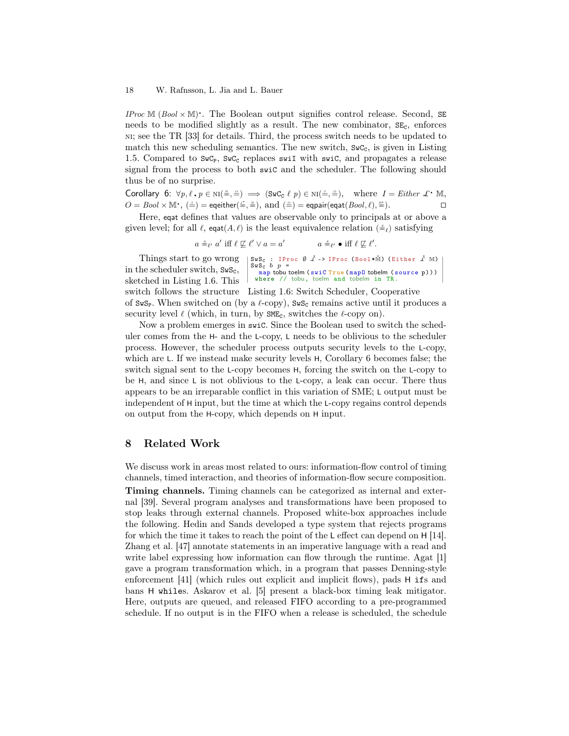IProc  $M$  (Bool  $\times$  M). The Boolean output signifies control release. Second, SE needs to be modified slightly as a result. The new combinator,  $SE<sub>c</sub>$ , enforces ni; see the TR [33] for details. Third, the process switch needs to be updated to match this new scheduling semantics. The new switch,  $S \mathbf{w} \mathbf{C}_c$ , is given in Listing 1.5. Compared to  $SwC_{P}$ ,  $SwC_{C}$  replaces swill with swic, and propagates a release signal from the process to both swiC and the scheduler. The following should thus be of no surprise.

Corollary 6:  $\forall p, \ell \cdot p \in \text{NI}(\frac{M}{m}, \frac{m}{m}) \implies (\text{SwC}_{\text{C}} \ell p) \in \text{NI}(\frac{m}{m}, \frac{m}{m})$ , where  $I = Either \mathcal{L} \cdot \mathbb{M}$ ,  $O = Bool \times \mathbb{M}$ ,  $(\frac{1}{n}) =$  eqeither $(\frac{2}{n}, \frac{1}{n})$ , and  $(\frac{2}{n}) =$  eqpair(eqat( $Bool, \ell$ ),  $\frac{1}{n}$ ).

Here, eqat defines that values are observable only to principals at or above a given level; for all  $\ell$ , eqat $(A, \ell)$  is the least equivalence relation  $(\triangleq_{\ell})$  satisfying

> $a \triangleq_{\ell'} a'$  iff  $\ell \not\sqsubseteq \ell' \vee a = a$  $a \triangleq_{\ell'} \bullet \text{ iff } \ell \not\sqsubseteq \ell'.$

SwS<sub>C</sub> : IProc  $\emptyset$   $\dot{\mathcal{L}}$  -> IProc (Bool\*M) (Either  $\dot{\mathcal{L}}$  M)<br>SwS<sub>C</sub> b p = map tobu toelm ( swiC True ( map 0 tobelm ( source p ) ) ) where // tobu, toelm and tobelm in TR. switch follows the structure Listing 1.6: Switch Scheduler, Cooperative Things start to go wrong in the scheduler switch,  $SwS_c$ , sketched in Listing 1.6. This of SwS<sub>P</sub>. When switched on (by a  $\ell$ -copy), SwS<sub>c</sub> remains active until it produces a security level  $\ell$  (which, in turn, by SME<sub>c</sub>, switches the  $\ell$ -copy on).

Now a problem emerges in swiC. Since the Boolean used to switch the scheduler comes from the H- and the L-copy, L needs to be oblivious to the scheduler process. However, the scheduler process outputs security levels to the L-copy, which are L. If we instead make security levels  $H$ , Corollary 6 becomes false; the switch signal sent to the L-copy becomes H, forcing the switch on the L-copy to be H, and since L is not oblivious to the L-copy, a leak can occur. There thus appears to be an irreparable conflict in this variation of SME; L output must be independent of H input, but the time at which the L-copy regains control depends on output from the H-copy, which depends on H input.

### 8 Related Work

We discuss work in areas most related to ours: information-flow control of timing channels, timed interaction, and theories of information-flow secure composition. Timing channels. Timing channels can be categorized as internal and external [39]. Several program analyses and transformations have been proposed to stop leaks through external channels. Proposed white-box approaches include the following. Hedin and Sands developed a type system that rejects programs for which the time it takes to reach the point of the L effect can depend on H [14]. Zhang et al. [47] annotate statements in an imperative language with a read and write label expressing how information can flow through the runtime. Agat [1] gave a program transformation which, in a program that passes Denning-style enforcement [41] (which rules out explicit and implicit flows), pads H ifs and bans H whiles. Askarov et al. [5] present a black-box timing leak mitigator. Here, outputs are queued, and released FIFO according to a pre-programmed schedule. If no output is in the FIFO when a release is scheduled, the schedule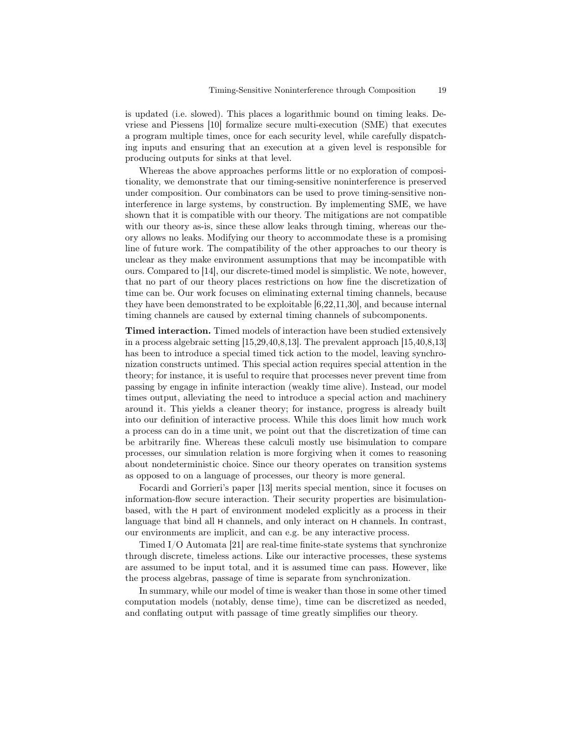is updated (i.e. slowed). This places a logarithmic bound on timing leaks. Devriese and Piessens [10] formalize secure multi-execution (SME) that executes a program multiple times, once for each security level, while carefully dispatching inputs and ensuring that an execution at a given level is responsible for producing outputs for sinks at that level.

Whereas the above approaches performs little or no exploration of compositionality, we demonstrate that our timing-sensitive noninterference is preserved under composition. Our combinators can be used to prove timing-sensitive noninterference in large systems, by construction. By implementing SME, we have shown that it is compatible with our theory. The mitigations are not compatible with our theory as-is, since these allow leaks through timing, whereas our theory allows no leaks. Modifying our theory to accommodate these is a promising line of future work. The compatibility of the other approaches to our theory is unclear as they make environment assumptions that may be incompatible with ours. Compared to [14], our discrete-timed model is simplistic. We note, however, that no part of our theory places restrictions on how fine the discretization of time can be. Our work focuses on eliminating external timing channels, because they have been demonstrated to be exploitable [6,22,11,30], and because internal timing channels are caused by external timing channels of subcomponents.

Timed interaction. Timed models of interaction have been studied extensively in a process algebraic setting [15,29,40,8,13]. The prevalent approach [15,40,8,13] has been to introduce a special timed tick action to the model, leaving synchronization constructs untimed. This special action requires special attention in the theory; for instance, it is useful to require that processes never prevent time from passing by engage in infinite interaction (weakly time alive). Instead, our model times output, alleviating the need to introduce a special action and machinery around it. This yields a cleaner theory; for instance, progress is already built into our definition of interactive process. While this does limit how much work a process can do in a time unit, we point out that the discretization of time can be arbitrarily fine. Whereas these calculi mostly use bisimulation to compare processes, our simulation relation is more forgiving when it comes to reasoning about nondeterministic choice. Since our theory operates on transition systems as opposed to on a language of processes, our theory is more general.

Focardi and Gorrieri's paper [13] merits special mention, since it focuses on information-flow secure interaction. Their security properties are bisimulationbased, with the H part of environment modeled explicitly as a process in their language that bind all H channels, and only interact on H channels. In contrast, our environments are implicit, and can e.g. be any interactive process.

Timed I/O Automata [21] are real-time finite-state systems that synchronize through discrete, timeless actions. Like our interactive processes, these systems are assumed to be input total, and it is assumed time can pass. However, like the process algebras, passage of time is separate from synchronization.

In summary, while our model of time is weaker than those in some other timed computation models (notably, dense time), time can be discretized as needed, and conflating output with passage of time greatly simplifies our theory.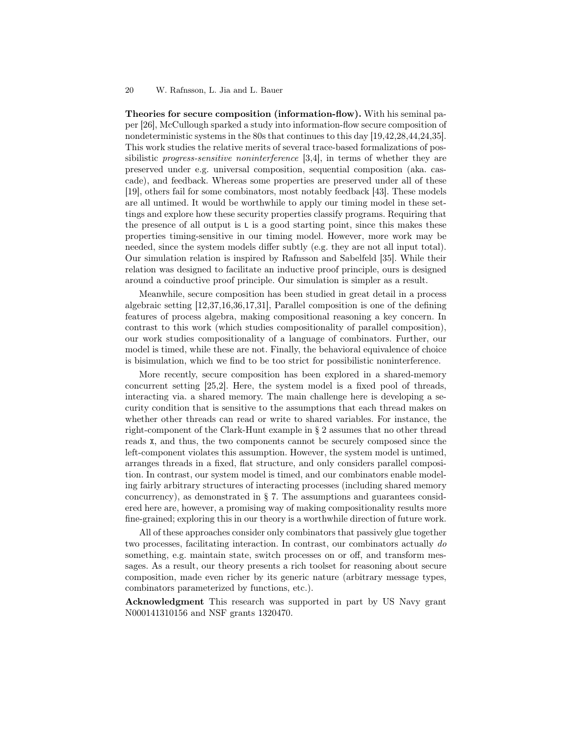Theories for secure composition (information-flow). With his seminal paper [26], McCullough sparked a study into information-flow secure composition of nondeterministic systems in the 80s that continues to this day [19,42,28,44,24,35]. This work studies the relative merits of several trace-based formalizations of possibilistic progress-sensitive noninterference [3,4], in terms of whether they are preserved under e.g. universal composition, sequential composition (aka. cascade), and feedback. Whereas some properties are preserved under all of these [19], others fail for some combinators, most notably feedback [43]. These models are all untimed. It would be worthwhile to apply our timing model in these settings and explore how these security properties classify programs. Requiring that the presence of all output is L is a good starting point, since this makes these properties timing-sensitive in our timing model. However, more work may be needed, since the system models differ subtly (e.g. they are not all input total). Our simulation relation is inspired by Rafnsson and Sabelfeld [35]. While their relation was designed to facilitate an inductive proof principle, ours is designed around a coinductive proof principle. Our simulation is simpler as a result.

Meanwhile, secure composition has been studied in great detail in a process algebraic setting [12,37,16,36,17,31], Parallel composition is one of the defining features of process algebra, making compositional reasoning a key concern. In contrast to this work (which studies compositionality of parallel composition), our work studies compositionality of a language of combinators. Further, our model is timed, while these are not. Finally, the behavioral equivalence of choice is bisimulation, which we find to be too strict for possibilistic noninterference.

More recently, secure composition has been explored in a shared-memory concurrent setting [25,2]. Here, the system model is a fixed pool of threads, interacting via. a shared memory. The main challenge here is developing a security condition that is sensitive to the assumptions that each thread makes on whether other threads can read or write to shared variables. For instance, the right-component of the Clark-Hunt example in § 2 assumes that no other thread reads X, and thus, the two components cannot be securely composed since the left-component violates this assumption. However, the system model is untimed, arranges threads in a fixed, flat structure, and only considers parallel composition. In contrast, our system model is timed, and our combinators enable modeling fairly arbitrary structures of interacting processes (including shared memory concurrency), as demonstrated in  $\S$  7. The assumptions and guarantees considered here are, however, a promising way of making compositionality results more fine-grained; exploring this in our theory is a worthwhile direction of future work.

All of these approaches consider only combinators that passively glue together two processes, facilitating interaction. In contrast, our combinators actually do something, e.g. maintain state, switch processes on or off, and transform messages. As a result, our theory presents a rich toolset for reasoning about secure composition, made even richer by its generic nature (arbitrary message types, combinators parameterized by functions, etc.).

Acknowledgment This research was supported in part by US Navy grant N000141310156 and NSF grants 1320470.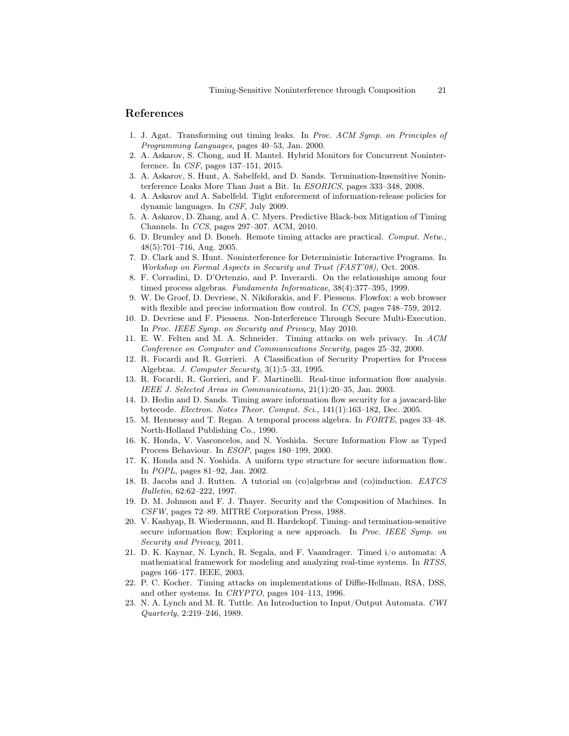### References

- 1. J. Agat. Transforming out timing leaks. In Proc. ACM Symp. on Principles of Programming Languages, pages 40–53, Jan. 2000.
- 2. A. Askarov, S. Chong, and H. Mantel. Hybrid Monitors for Concurrent Noninterference. In CSF, pages 137–151, 2015.
- 3. A. Askarov, S. Hunt, A. Sabelfeld, and D. Sands. Termination-Insensitive Noninterference Leaks More Than Just a Bit. In ESORICS, pages 333–348, 2008.
- 4. A. Askarov and A. Sabelfeld. Tight enforcement of information-release policies for dynamic languages. In CSF, July 2009.
- 5. A. Askarov, D. Zhang, and A. C. Myers. Predictive Black-box Mitigation of Timing Channels. In CCS, pages 297–307. ACM, 2010.
- 6. D. Brumley and D. Boneh. Remote timing attacks are practical. Comput. Netw., 48(5):701–716, Aug. 2005.
- 7. D. Clark and S. Hunt. Noninterference for Deterministic Interactive Programs. In Workshop on Formal Aspects in Security and Trust (FAST'08), Oct. 2008.
- 8. F. Corradini, D. D'Ortenzio, and P. Inverardi. On the relationships among four timed process algebras. Fundamenta Informaticae, 38(4):377–395, 1999.
- 9. W. De Groef, D. Devriese, N. Nikiforakis, and F. Piessens. Flowfox: a web browser with flexible and precise information flow control. In CCS, pages 748–759, 2012.
- 10. D. Devriese and F. Piessens. Non-Interference Through Secure Multi-Execution. In Proc. IEEE Symp. on Security and Privacy, May 2010.
- 11. E. W. Felten and M. A. Schneider. Timing attacks on web privacy. In ACM Conference on Computer and Communications Security, pages 25–32, 2000.
- 12. R. Focardi and R. Gorrieri. A Classification of Security Properties for Process Algebras. J. Computer Security, 3(1):5–33, 1995.
- 13. R. Focardi, R. Gorrieri, and F. Martinelli. Real-time information flow analysis. IEEE J. Selected Areas in Communications, 21(1):20–35, Jan. 2003.
- 14. D. Hedin and D. Sands. Timing aware information flow security for a javacard-like bytecode. Electron. Notes Theor. Comput. Sci., 141(1):163–182, Dec. 2005.
- 15. M. Hennessy and T. Regan. A temporal process algebra. In FORTE, pages 33–48. North-Holland Publishing Co., 1990.
- 16. K. Honda, V. Vasconcelos, and N. Yoshida. Secure Information Flow as Typed Process Behaviour. In ESOP, pages 180–199, 2000.
- 17. K. Honda and N. Yoshida. A uniform type structure for secure information flow. In POPL, pages 81–92, Jan. 2002.
- 18. B. Jacobs and J. Rutten. A tutorial on (co)algebras and (co)induction. EATCS Bulletin, 62:62–222, 1997.
- 19. D. M. Johnson and F. J. Thayer. Security and the Composition of Machines. In CSFW, pages 72–89. MITRE Corporation Press, 1988.
- 20. V. Kashyap, B. Wiedermann, and B. Hardekopf. Timing- and termination-sensitive secure information flow: Exploring a new approach. In Proc. IEEE Symp. on Security and Privacy, 2011.
- 21. D. K. Kaynar, N. Lynch, R. Segala, and F. Vaandrager. Timed i/o automata: A mathematical framework for modeling and analyzing real-time systems. In RTSS, pages 166–177. IEEE, 2003.
- 22. P. C. Kocher. Timing attacks on implementations of Diffie-Hellman, RSA, DSS, and other systems. In CRYPTO, pages 104–113, 1996.
- 23. N. A. Lynch and M. R. Tuttle. An Introduction to Input/Output Automata. CWI Quarterly, 2:219–246, 1989.